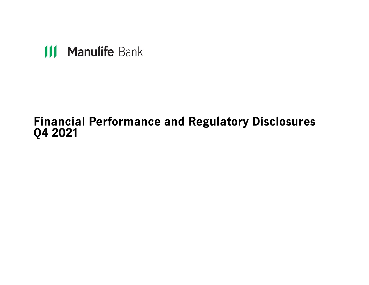# **III Manulife Bank**

# **Financial Performance and Regulatory Disclosures Q4 2021**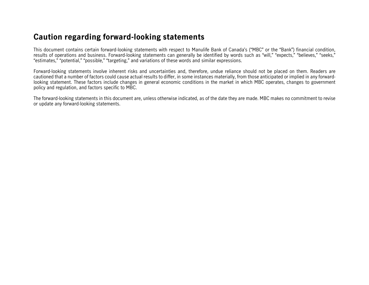## **Caution regarding forward-looking statements**

This document contains certain forward-looking statements with respect to Manulife Bank of Canada's ("MBC" or the "Bank") financial condition, results of operations and business. Forward-looking statements can generally be identified by words such as "will," "expects," "believes," "seeks," "estimates," "potential," "possible," "targeting," and variations of these words and similar expressions.

Forward-looking statements involve inherent risks and uncertainties and, therefore, undue reliance should not be placed on them. Readers are cautioned that a number of factors could cause actual results to differ, in some instances materially, from those anticipated or implied in any forwardlooking statement. These factors include changes in general economic conditions in the market in which MBC operates, changes to government policy and regulation, and factors specific to MBC.

The forward-looking statements in this document are, unless otherwise indicated, as of the date they are made. MBC makes no commitment to revise or update any forward-looking statements.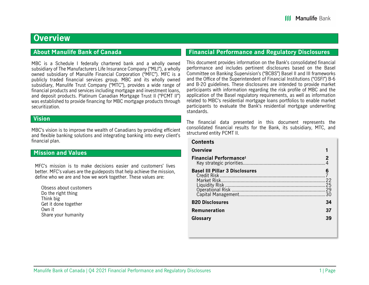## **Overview**

### **About Manulife Bank of Canada**

MBC is a Schedule I federally chartered bank and a wholly owned subsidiary of The Manufacturers Life Insurance Company ("MLI"), a wholly owned subsidiary of Manulife Financial Corporation ("MFC"). MFC is a publicly traded financial services group. MBC and its wholly owned subsidiary, Manulife Trust Company ("MTC"), provides a wide range of financial products and services including mortgage and investment loans, and deposit products. Platinum Canadian Mortgage Trust II ("PCMT II") was established to provide financing for MBC mortgage products through securitization.

### **Vision**

MBC's vision is to improve the wealth of Canadians by providing efficient and flexible banking solutions and integrating banking into every client's financial plan.

### **Mission and Values**

MFC's mission is to make decisions easier and customers' lives better. MFC's values are the guideposts that help achieve the mission, define who we are and how we work together. These values are:

Obsess about customers Do the right thing Think big Get it done together Own it Share your humanity

### **Financial Performance and Regulatory Disclosures**

This document provides information on the Bank's consolidated financial performance and includes pertinent disclosures based on the Basel Committee on Banking Supervision's ("BCBS") Basel II and III frameworks and the Office of the Superintendent of Financial Institutions ("OSFI") B-6 and B-20 guidelines. These disclosures are intended to provide market participants with information regarding the risk profile of MBC and the application of the Basel regulatory requirements, as well as information related to MBC's residential mortgage loans portfolios to enable market participants to evaluate the Bank's residential mortgage underwriting standards.

The financial data presented in this document represents the consolidated financial results for the Bank, its subsidiary, MTC, and structured entity PCMT II.

### **Contents Overview 1 Financial Performance1 2** Key strategic priorities ................................................................ 4 **Basel III Pillar 3 Disclosures**  Credit Risk .................................................................................. 7**6** Market Risk ................................................................................. 22 Liquidity Risk .............................................................................. 25 Operational Risk ......................................................................... 29 Capital Management ................................................................... 30 **B20 Disclosures 34Remuneration 37 Glossary 39**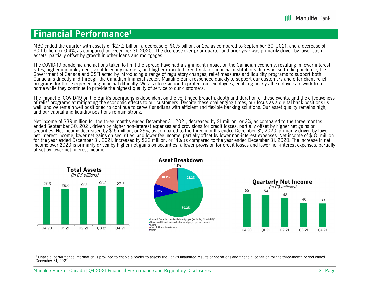## **Financial Performance1**

MBC ended the quarter with assets of \$27.2 billion, a decrease of \$0.5 billion, or 2%, as compared to September 30, 2021, and a decrease of \$0.7 and a decrease of \$0.7 and a decrease of \$0.7 billion, or 0.4%, as compared t assets, partially offset by growth in other loans and mortgages.

The COVID-19 pandemic and actions taken to limit the spread have had a significant impact on the Canadian economy, resulting in lower interest rates, higher unemployment, volatile equity markets, and higher expected credit risk for financial institutions. In response to the pandemic, the Government of Canada and OSFI acted by introducing a range of regulatory cha Canadians directly and through the Canadian financial sector. Manulife Bank responded quickly to support our customers and offer client relief programs for those experiencing financial difficulty. We also took action to protect our employees, enabling nearly all employees to work from home while they continue to provide the highest quality of service to our customers.

The impact of COVID-19 on the Bank's operations is dependent on the continued breadth, depth and duration of these events, and the effectiveness of relief programs at mitigating the economic effects to our customers. Despi well, and we remain well positioned to continue to serve Canadians with efficient and flexible banking solutions. Our asset quality remains high, and our capital and liquidity positions remain strong.

Net income of \$39 million for the three months ended December 31, 2021, decreased by \$1 million, or 3%, as compared to the three months ended September 30, 2021, driven by higher non-interest expenses and provisions for cr securities. Net income decreased by \$16 million, or 29%, as compared to the three months ended December 31, 2020, primarily driven by lower<br>net interest income, lower net gains on securities, and lower fee income, partiall income over 2020 is primarily driven by higher net gains on securities, a lower provision for credit losses and lower non-interest expenses, partially offset by lower net interest income.



<sup>1</sup> Financial performance information is provided to enable a reader to assess the Bank's unaudited results of operations and financial condition for the three-month period ended December 31, 2021.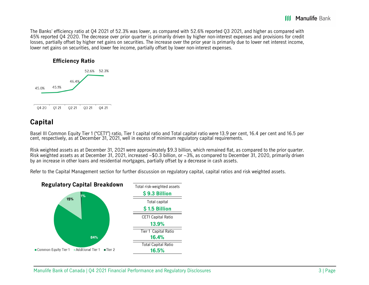The Banks' efficiency ratio at Q4 2021 of 52.3% was lower, as compared with 52.6% reported Q3 2021, and higher as compared with 45% reported Q4 2020. The decrease over prior quarter is primarily driven by higher non-interest expenses and provisions for credit losses, partially offset by higher net gains on securities. The increase over the prior year is primarily due to lower net interest income, lower net gains on securities, and lower fee income, partially offset by lower non-interest expenses.



## **Capital**

Basel III Common Equity Tier 1 ("CET1") ratio, Tier 1 capital ratio and Total capital ratio were 13.9 per cent, 16.4 per cent and 16.5 per cent and 16.5 per cent and 16.5 per cent and 16.5 per

Risk weighted assets as at December 31, 2021 were approximately \$9.3 billion, which remained flat, as compared to the prior quarter. Risk weighted assets as at December 31, 2021, increased ~\$0.3 billion, or ~3%, as compared to December 31, 2020, primarily driven by an increase in other loans and residential mortgages, partially offset by a decrease in cash assets.

Refer to the Capital Management section for further discussion on regulatory capital, capital ratios and risk weighted assets.

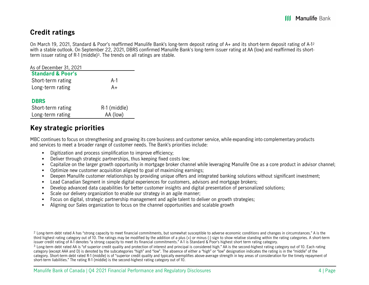## **Credit ratings**

On March 19, 2021, Standard & Poor's reaffirmed Manulife Bank's long-term deposit rating of A+ and its short-term deposit rating of A-12 with a stable outlook. On September 22, 2021, DBRS confirmed Manulife Bank's long-term issuer rating at AA (low) and reaffirmed its shortterm issuer rating of R-1 (middle)3. The trends on all ratings are stable.

| As of December 31, 2021      |              |
|------------------------------|--------------|
| <b>Standard &amp; Poor's</b> |              |
| Short-term rating            | A-1          |
| Long-term rating             | A+           |
| <b>DBRS</b>                  |              |
| Short-term rating            | R-1 (middle) |
| Long-term rating             | AA (low)     |

## **Key strategic priorities**

MBC continues to focus on strengthening and growing its core business and customer service, while expanding into complementary products and services to meet a broader range of customer needs. The Bank's priorities include:

- Digitization and process simplification to improve efficiency;
- $\blacksquare$ Deliver through strategic partnerships, thus keeping fixed costs low;
- $\blacksquare$ Capitalize on the larger growth opportunity in mortgage broker channel while leveraging Manulife One as a core product in advisor channel;
- $\blacksquare$ Optimize new customer acquisition aligned to goal of maximizing earnings;
- $\blacksquare$ Deepen Manulife customer relationships by providing unique offers and integrated banking solutions without significant investment;
- $\blacksquare$ Lead Canadian Segment in simple digital experiences for customers, advisors and mortgage brokers;
- $\blacksquare$ Develop advanced data capabilities for better customer insights and digital presentation of personalized solutions;
- $\blacksquare$ Scale our delivery organization to enable our strategy in an agile manner;
- $\blacksquare$ Focus on digital, strategic partnership management and agile talent to deliver on growth strategies;
- $\blacksquare$ Aligning our Sales organization to focus on the channel opportunities and scalable growth

 $^2$  Long-term debt rated A has "strong capacity to meet financial commitments, but somewhat susceptible to adverse economic conditions and changes in circumstances." A is the third highest rating category out of 10. The ratings may be modified by the addition of a plus (+) or minus (-) sign to show relative standing within the rating categories. A short-term issuer credit rating of A-1 denotes "a strong capacity to meet its financial commitments." A-1 is Standard & Poor's highest short term rating category.

 $3$  Long-term debt rated AA is "of superior credit quality and protection of interest and principal is considered high." AA is the second-highest rating category out of 10. Each rating category (except AAA and D) is denoted by the subcategories "high" and "low". The absence of either a "high" or "low" designation indicates the rating is in the "middle" of the category. Short-term debt rated R-1 (middle) is of "superior credit quality and typically exemplifies above-average strength in key areas of consideration for the timely repayment of short-term liabilities." The rating R-1 (middle) is the second-highest rating category out of 10.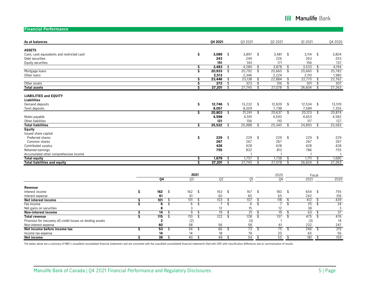**III Manulife Bank** 

**Financial Performance**

| As at balances                                              |    |                |                                 | 04 2021        |               | 03 20 21        |                          | 02 2021        |                          | 01 20 21    |                         | Q4 2020        |
|-------------------------------------------------------------|----|----------------|---------------------------------|----------------|---------------|-----------------|--------------------------|----------------|--------------------------|-------------|-------------------------|----------------|
| <b>ASSETS</b>                                               |    |                |                                 |                |               |                 |                          |                |                          |             |                         |                |
| Cash, cash equivalents and restricted cash                  |    |                | \$                              | 3,089          | \$            | 3,897           | \$                       | 3,481          | \$                       | 3,114       | - \$                    | 3,804          |
| Debt securities                                             |    |                |                                 | 243            |               | 244             |                          | 226            |                          | 263         |                         | 253            |
| Equity securities                                           |    |                |                                 | 151            |               | 143             |                          | 171            |                          | 156         |                         | 137            |
|                                                             |    |                |                                 | 3,483          |               | 4,284           | \$                       | 3,878          |                          | 3,533       |                         | 4,194          |
|                                                             |    |                | \$<br>Ś                         | 20,933         | \$            | 20,792          | \$                       | 20,660         | \$                       | 20,660      | \$                      | 20,782         |
| Mortgage loans                                              |    |                |                                 | 2,513          |               | 2,346           |                          | 2,224          |                          | 2,110       |                         | 1,980          |
| Other loans                                                 |    |                |                                 | 23,446         | \$            | 23,138          | \$                       | 22,884         | \$                       | 22,770      | Æ                       | 22,762         |
|                                                             |    |                | \$<br>\$                        | 272            |               | 323             |                          | 316            | \$                       | 301         |                         | 307            |
| Other assets                                                |    |                | Ŝ                               | 27,201         | \$            | 27,745          | \$                       | 27,078         |                          | 26,604      | .S                      |                |
| <b>Total assets</b>                                         |    |                |                                 |                |               |                 |                          |                |                          |             |                         | 27,263         |
| <b>LIABILITIES and EQUITY</b>                               |    |                |                                 |                |               |                 |                          |                |                          |             |                         |                |
| <b>Liabilities</b>                                          |    |                |                                 |                |               |                 |                          |                |                          |             |                         |                |
| Demand deposits                                             |    |                | \$                              | 12,746         | $\frac{1}{2}$ | 13,232          | \$                       | 12,839         | \$                       | $12,534$ \$ |                         | 13,519         |
| Term deposits                                               |    |                |                                 | 8,057          |               | 8,009           |                          | 7,798          |                          | 7,589       |                         | 7,355          |
|                                                             |    |                | \$                              | 20,803         | \$            | 21,241          | \$                       | 20,637         | \$                       | 20,123      | \$                      | 20,874         |
| Notes payable                                               |    |                |                                 | 4,598          |               | 4,591           |                          | 4,593          |                          | 4,653       |                         | 4,582          |
| Other liabilities                                           |    |                |                                 | 121            |               | 156             |                          | 110            |                          | 117         |                         | 127            |
| <b>Total liabilities</b>                                    |    |                | \$                              | 25,522         | £.            | 25,988          | \$                       | 25,340         | \$                       | 24,893      |                         | 25,583         |
| Equity                                                      |    |                |                                 |                |               |                 |                          |                |                          |             |                         |                |
| Issued share capital                                        |    |                |                                 |                |               |                 |                          |                |                          |             |                         |                |
| Preferred shares                                            |    |                | \$                              | 229            | \$            | 229             | \$                       | 229            | \$                       | 229         | \$                      | 229            |
| Common shares                                               |    |                |                                 | 267            |               | 267             |                          | 267            |                          | 267         |                         | 267            |
| Contributed surplus                                         |    |                |                                 | 428            |               | 428             |                          | 428            |                          | 428         |                         | 428            |
| Retained earnings                                           |    |                |                                 | 755            |               | 832             |                          | 813            |                          | 786         |                         | 755            |
| Accumulated other comprehensive income                      |    |                |                                 |                |               | -1              |                          | f.             |                          | -1          |                         | $\overline{1}$ |
| <b>Total equity</b>                                         |    |                | \$.                             | 1,679          | S             | 1,757           | £.                       | 1,738          | S                        | 1,711       | - \$                    | 1,680          |
| <b>Total liabilities and equity</b>                         |    |                | ड                               | 27,201         |               | 27,745          | \$                       | 27,078         |                          | 26,604      | \$                      | 27,263         |
|                                                             |    |                |                                 |                |               |                 |                          |                |                          |             |                         |                |
|                                                             |    |                | 2021                            |                |               |                 |                          | 2020           |                          |             | Fiscal                  |                |
|                                                             |    | Q <sub>4</sub> | $\overline{03}$                 | Q <sub>2</sub> |               | Q1              |                          | 04             |                          | 2021        |                         | 2020           |
| Revenue                                                     |    |                |                                 |                |               |                 |                          |                |                          |             |                         |                |
| Interest income                                             | \$ | 162<br>\$      | \$<br>162                       | 163            | \$            | 167             | \$                       | 183            | \$                       | 654 \$      |                         | 755            |
| Interest expense                                            |    | 61             | 61                              | 60             |               | 60              |                          | 65             |                          | 242         |                         | 316            |
| Net interest income                                         | \$ | 101<br>\$      | 101<br>\$                       | 103            | \$            | 107             | \$                       | 118            | \$                       | 412         | -\$                     | 439            |
| Fee income                                                  | Ś  | \$<br>6        | $\overline{\mathcal{C}}$<br>6   |                | \$            | 6               | $\overline{\mathcal{L}}$ | $\overline{7}$ | $\overline{\mathcal{L}}$ | 25          | $\overline{\mathbf{s}}$ | 34             |
| Net gains on securities                                     |    | 8              | 3                               | 12             |               | 15              |                          | 12             |                          | 38          |                         | 3              |
| Non-interest income                                         | \$ | 14<br>\$       | 9<br>\$                         | 19             | \$            | $\overline{21}$ | \$                       | 19             | \$                       | 63          | \$                      | 37             |
| <b>Total revenue</b>                                        | Ś  | 115<br>\$      | 110<br>$\overline{\mathcal{L}}$ | 122            | \$            | 128             | $\overline{\mathcal{L}}$ | 137            | $\overline{\mathcal{C}}$ | 475         | $\overline{\mathbf{s}}$ | 476            |
| Provision for (recovery of) credit losses on lending assets |    | $\mathbf{2}$   | (2)                             |                |               | (3)             |                          | $\overline{1}$ |                          | (3)         |                         | 14             |
| Non-interest expense                                        |    | 60             | 58                              | 56             |               | 58              |                          | 61             |                          | 232         |                         | 247            |
| Net income before income tax                                | \$ | 53<br>\$       | 54<br>\$                        | 66             | \$            | 73              | \$                       | 75             | \$                       | 246         | $\overline{\mathbf{r}}$ | 215            |
| Income tax expense                                          |    | 14             | 14                              | 18             |               | 19              |                          | 20             |                          | 65          |                         | 56             |
| Net income                                                  | S  | 39<br>\$       | 40<br>\$                        | 48             | \$            | 54              | \$                       | 55             | \$                       | 181         | -\$                     | 159            |
|                                                             |    |                |                                 |                |               |                 |                          |                |                          |             |                         |                |

The tables above are a summary of MBC's unaudited consolidated financial statements and are consistent with the unaudited consolidated financial statements filed with OSFI with classification differences due to summarizati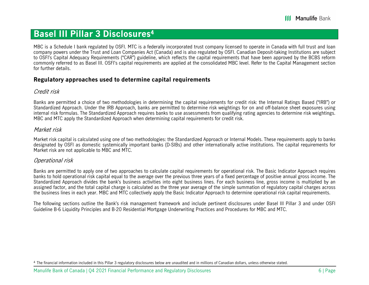## **Basel III Pillar 3 Disclosures4**

MBC is a Schedule I bank regulated by OSFI. MTC is a federally incorporated trust company licensed to operate in Canada with full trust and loan company powers under the Trust and Loan Companies Act (Canada) and is also regulated by OSFI. Canadian Deposit-taking Institutions are subject to OSFI's Capital Adequacy Requirements ("CAR") guideline, which reflects the capital requirements that have been approved by the BCBS reform commonly referred to as Basel III. OSFI's capital requirements are applied at the consolidated MBC level. Refer to the Capital Management section for further details.

### **Regulatory approaches used to determine capital requirements**

### Credit risk

Banks are permitted a choice of two methodologies in determining the capital requirements for credit risk: the Internal Ratings Based ("IRB") or Standardized Approach. Under the IRB Approach, banks are permitted to determine risk weightings for on and off-balance sheet exposures using internal risk formulas. The Standardized Approach requires banks to use assessments from qualifying rating agencies to determine risk weightings. MBC and MTC apply the Standardized Approach when determining capital requirements for credit risk.

### Market risk

Market risk capital is calculated using one of two methodologies: the Standardized Approach or Internal Models. These requirements apply to banks designated by OSFI as domestic systemically important banks (D-SIBs) and other internationally active institutions. The capital requirements for Market risk are not applicable to MBC and MTC.

### Operational risk

Banks are permitted to apply one of two approaches to calculate capital requirements for operational risk. The Basic Indicator Approach requires banks to hold operational risk capital equal to the average over the previous three years of a fixed percentage of positive annual gross income. The Standardized Approach divides the bank's business activities into eight business lines. For each business line, gross income is multiplied by an assigned factor, and the total capital charge is calculated as the three year average of the simple summation of regulatory capital charges across the business lines in each year. MBC and MTC collectively apply the Basic Indicator Approach to determine operational risk capital requirements.

The following sections outline the Bank's risk management framework and include pertinent disclosures under Basel III Pillar 3 and under OSFI Guideline B-6 Liquidity Principles and B-20 Residential Mortgage Underwriting Practices and Procedures for MBC and MTC.

<sup>&</sup>lt;sup>4</sup> The financial information included in this Pillar 3 regulatory disclosures below are unaudited and in millions of Canadian dollars, unless otherwise stated.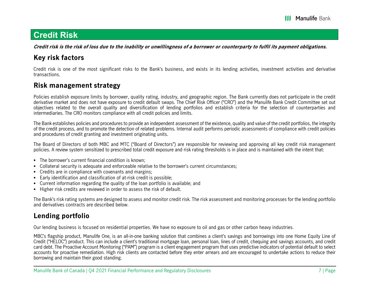## **Credit Risk**

**Credit risk is the risk of loss due to the inability or unwillingness of a borrower or counterparty to fulfil its payment obligations.** 

## **Key risk factors**

Credit risk is one of the most significant risks to the Bank's business, and exists in its lending activities, investment activities and derivative transactions.

## **Risk management strategy**

Policies establish exposure limits by borrower, quality rating, industry, and geographic region. The Bank currently does not participate in the credit derivative market and does not have exposure to credit default swaps. The Chief Risk Officer ("CRO") and the Manulife Bank Credit Committee set out objectives related to the overall quality and diversification of lending portfolios and establish criteria for the selection of counterparties and intermediaries. The CRO monitors compliance with all credit policies and limits.

The Bank establishes policies and procedures to provide an independent assessment of the existence, quality and value of the credit portfolios, the integrity of the credit process, and to promote the detection of related problems. Internal audit performs periodic assessments of compliance with credit policies and procedures of credit granting and investment originating units.

The Board of Directors of both MBC and MTC ("Board of Directors") are responsible for reviewing and approving all key credit risk management policies. A review system sensitized to prescribed total credit exposure and risk rating thresholds is in place and is maintained with the intent that:

- The borrower's current financial condition is known;
- Collateral security is adequate and enforceable relative to the borrower's current circumstances;
- Credits are in compliance with covenants and margins;
- $\quad \bullet \quad$  Early identification and classification of at-risk credit is possible;
- Current information regarding the quality of the loan portfolio is available; and
- **Higher risk credits are reviewed in order to assess the risk of default.**

The Bank's risk rating systems are designed to assess and monitor credit risk. The risk assessment and monitoring processes for the lending portfolio and derivatives contracts are described below.

## **Lending portfolio**

Our lending business is focused on residential properties. We have no exposure to oil and gas or other carbon heavy industries.

MBC's flagship product, Manulife One, is an all-in-one banking solution that combines a client's savings and borrowings into one Home Equity Line of Credit ("HELOC") product. This can include a client's traditional mortgage loan, personal loan, lines of credit, chequing and savings accounts, and credit card debt. The Proactive Account Monitoring ("PAM") program is a client engagement program that uses predictive indicators of potential default to select accounts for proactive remediation. High risk clients are contacted before they enter arrears and are encouraged to undertake actions to reduce their borrowing and maintain their good standing.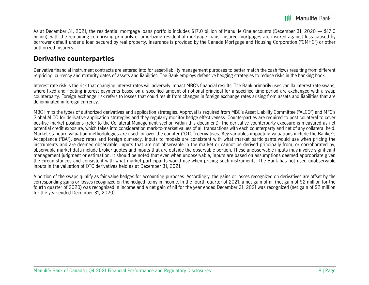As at December 31, 2021, the residential mortgage loans portfolio includes \$17.0 billion of Manulife One accounts (December 31, 2020 — \$17.0 billion), with the remaining comprising primarily of amortizing residential mortgage loans. Insured mortgages are insured against loss caused by borrower default under a loan secured by real property. Insurance is provided by the Canada Mortgage and Housing Corporation ("CMHC") or other authorized insurers.

### **Derivative counterparties**

Derivative financial instrument contracts are entered into for asset-liability management purposes to better match the cash flows resulting from different re-pricing, currency and maturity dates of assets and liabilities. The Bank employs defensive hedging strategies to reduce risks in the banking book.

Interest rate risk is the risk that changing interest rates will adversely impact MBC's financial results. The Bank primarily uses vanilla interest rate swaps, where fixed and floating interest payments based on a specified amount of notional principal for a specified time period are exchanged with a swap counterparty. Foreign exchange risk refers to losses that could result from changes in foreign exchange rates arising from assets and liabilities that are denominated in foreign currency.

MBC limits the types of authorized derivatives and application strategies. Approval is required from MBC's Asset Liability Committee ("ALCO") and MFC's Global ALCO for derivative application strategies and they regularly monitor hedge effectiveness. Counterparties are required to post collateral to cover positive market positions (refer to the Collateral Management section within this document). The derivative counterparty exposure is measured as net potential credit exposure, which takes into consideration mark-to-market values of all transactions with each counterparty and net of any collateral held. Market standard valuation methodologies are used for over the counter ("OTC") derivatives. Key variables impacting valuations include the Banker's Acceptance ("BA"), swap rates and foreign currency. Inputs to models are consistent with what market participants would use when pricing the instruments and are deemed observable. Inputs that are not observable in the market or cannot be derived principally from, or corroborated by, observable market data include broker quotes and inputs that are outside the observable portion. These unobservable inputs may involve significant management judgment or estimation. It should be noted that even when unobservable, inputs are based on assumptions deemed appropriate given the circumstances and consistent with what market participants would use when pricing such instruments. The Bank has not used unobservable inputs in the valuation of OTC derivatives held as at December 31, 2021.

A portion of the swaps qualify as fair value hedges for accounting purposes. Accordingly, the gains or losses recognized on derivatives are offset by the corresponding gains or losses recognized on the hedged items in income. In the fourth quarter of 2021, a net gain of nil (net gain of \$2 million for the fourth quarter of 2020) was recognized in income and a net gain of nil for the year ended December 31, 2021 was recognized (net gain of \$2 million for the year ended December 31, 2020).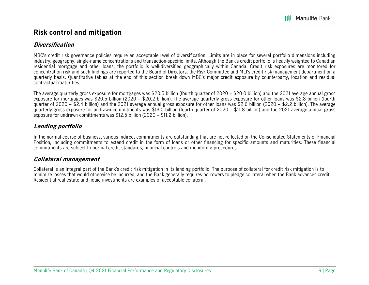### **Risk control and mitigation**

### **Diversification**

MBC's credit risk governance policies require an acceptable level of diversification. Limits are in place for several portfolio dimensions including industry, geography, single-name concentrations and transaction-specific limits. Although the Bank's credit portfolio is heavily weighted to Canadian residential mortgage and other loans, the portfolio is well-diversified geographically within Canada. Credit risk exposures are monitored for concentration risk and such findings are reported to the Board of Directors, the Risk Committee and MLI's credit risk management department on a quarterly basis. Quantitative tables at the end of this section break down MBC's major credit exposure by counterparty, location and residual contractual maturities.

The average quarterly gross exposure for mortgages was \$20.5 billion (fourth quarter of 2020 – \$20.0 billion) and the 2021 average annual gross exposure for mortgages was \$20.5 billion (2020 – \$20.2 billion). The average quarterly gross exposure for other loans was \$2.8 billion (fourth quarter of 2020 – \$2.4 billion) and the 2021 average annual gross exposure for other loans was \$2.6 billion (2020 – \$2.2 billion). The average quarterly gross exposure for undrawn commitments was \$13.0 billion (fourth quarter of 2020 – \$11.8 billion) and the 2021 average annual gross exposure for undrawn comittments was \$12.5 billion (2020 – \$11.2 billion).

### **Lending portfolio**

In the normal course of business, various indirect commitments are outstanding that are not reflected on the Consolidated Statements of Financial Position, including commitments to extend credit in the form of loans or other financing for specific amounts and maturities. These financial commitments are subject to normal credit standards, financial controls and monitoring procedures.

### **Collateral management**

Collateral is an integral part of the Bank's credit risk mitigation in its lending portfolio. The purpose of collateral for credit risk mitigation is to minimize losses that would otherwise be incurred, and the Bank generally requires borrowers to pledge collateral when the Bank advances credit. Residential real estate and liquid investments are examples of acceptable collateral.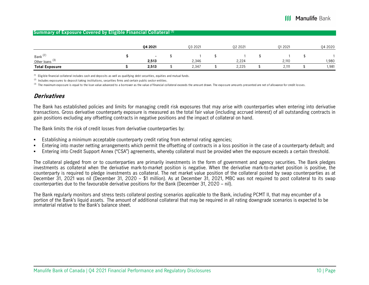#### **Summary of Exposure Covered by Eligible Financial Collateral (1)**

|                                                   | 04 20 21        | 03 2021 | 02 2021 | 01 20 21 | Q4 2020 |
|---------------------------------------------------|-----------------|---------|---------|----------|---------|
| Bank <sup>(2)</sup><br>Other loans <sup>(3)</sup> | $\sim$<br>2,513 | 2,346   | 2,224   | 2,110    | 980،    |
| <b>Total Exposure</b>                             | 2,513           | 2,347   | 2,225   | 2,111    | 1,981   |

 $<sup>(1)</sup>$  Eligible financial collateral includes cash and deposits as well as qualifying debt securities, equities and mutual funds.</sup>

 $(2)$  Includes exposures to deposit taking institutions, securities firms and certain public sector entities.

(3) The maximum exposure is equal to the loan value advanced to a borrower as the value of financial collateral exceeds the amount drawn. The exposure amounts presented are net of allowance for credit losses.

### **Derivatives**

The Bank has established policies and limits for managing credit risk exposures that may arise with counterparties when entering into derivative transactions. Gross derivative counterparty exposure is measured as the total fair value (including accrued interest) of all outstanding contracts in gain positions excluding any offsetting contracts in negative positions and the impact of collateral on hand.

The Bank limits the risk of credit losses from derivative counterparties by:

- г Establishing a minimum acceptable counterparty credit rating from external rating agencies;
- г Entering into master netting arrangements which permit the offsetting of contracts in a loss position in the case of a counterparty default; and
- г Entering into Credit Support Annex ("CSA") agreements, whereby collateral must be provided when the exposure exceeds a certain threshold.

The collateral pledged from or to counterparties are primarily investments in the form of government and agency securities. The Bank pledges investments as collateral when the derivative mark-to-market position is negative. When the derivative mark-to-market position is positive, the counterparty is required to pledge investments as collateral. The net market value position of the collateral posted by swap counterparties as at December 31, 2021 was nil (December 31, 2020 – \$1 million). As at December 31, 2021, MBC was not required to post collateral to its swap counterparties due to the favourable derivative positions for the Bank (December 31, 2020 – nil).

The Bank regularly monitors and stress tests collateral posting scenarios applicable to the Bank, including PCMT II, that may encumber of a portion of the Bank's liquid assets. The amount of additional collateral that may be required in all rating downgrade scenarios is expected to be immaterial relative to the Bank's balance sheet.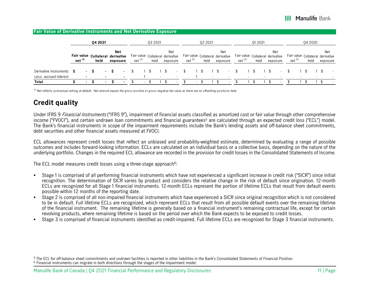| <b>Fair Value of Derivative Instruments and Net Derivative Exposure</b> |   |                          |    |                                          |                                            |                    |         |                                                     |                                                        |                          |         |        |                 |                          |                                                        |         |                 |        |                                                        |         |     |          |
|-------------------------------------------------------------------------|---|--------------------------|----|------------------------------------------|--------------------------------------------|--------------------|---------|-----------------------------------------------------|--------------------------------------------------------|--------------------------|---------|--------|-----------------|--------------------------|--------------------------------------------------------|---------|-----------------|--------|--------------------------------------------------------|---------|-----|----------|
|                                                                         |   |                          |    | 04 20 21                                 |                                            |                    | 03 2021 |                                                     |                                                        |                          | 02 2021 |        |                 |                          |                                                        | 01 2021 |                 |        |                                                        | 04 2020 |     |          |
|                                                                         |   | net <sup>(1)</sup>       |    | Fair value Collateral derivative<br>held | <b>Net</b><br>exposure                     | net <sup>(1)</sup> | held    | Net<br>Fair value Collateral derivative<br>exposure | Fair value Collateral derivative<br>net <sup>(1)</sup> |                          |         | held   | Net<br>exposure |                          | Fair value Collateral derivative<br>net <sup>(1)</sup> | held    | Net<br>exposure |        | Fair value Collateral derivative<br>net <sup>(1)</sup> | held    | Net | exposure |
| Derivative instruments<br>Less: accrued interest                        | ъ |                          |    |                                          | $\blacksquare$<br>$\overline{\phantom{0}}$ |                    | $\sim$  |                                                     |                                                        |                          |         | $\sim$ |                 |                          |                                                        |         |                 |        |                                                        |         |     |          |
| <b>Total</b>                                                            |   | <b>Contract Contract</b> | -S | $\sim$                                   | $\sim$                                     | $\sim$             |         | $\overline{\phantom{a}}$                            |                                                        | $\overline{\phantom{a}}$ |         |        |                 | $\overline{\phantom{0}}$ |                                                        |         |                 | $\sim$ |                                                        |         |     | $\sim$   |

 $^{(1)}$  Net reflects contractual netting at default. Net amount equals the gross positive or gross negative fair value as there are no offsetting positions held.

## **Credit quality**

Under IFRS 9 Financial Instruments ("IFRS 9"), impairment of financial assets classified as amortized cost or fair value through other comprehensive income ("FVOCI"), and certain undrawn loan commitments and financial guarantees<sup>5</sup> are calculated through an expected credit loss ("ECL") model. The Bank's financial instruments in scope of the impairment requirements include the Bank's lending assets and off-balance sheet commitments, debt securities and other financial assets measured at FVOCI.

ECL allowances represent credit losses that reflect an unbiased and probability-weighted estimate, determined by evaluating a range of possible outcomes and includes forward-looking information. ECLs are calculated on an individual basis or a collective basis, depending on the nature of the underlying portfolio. Changes in the required ECL allowance are recorded in the provision for credit losses in the Consolidated Statements of Income.

The ECL model measures credit losses using a three-stage approach<sup>6</sup>:

- г Stage 1 is comprised of all performing financial instruments which have not experienced a significant increase in credit risk ("SICR") since initial recognition. The determination of SICR varies by product and considers the relative change in the risk of default since origination. 12-month ECLs are recognized for all Stage 1 financial instruments. 12-month ECLs represent the portion of lifetime ECLs that result from default events possible within 12 months of the reporting date.
- П Stage 2 is comprised of all non-impaired financial instruments which have experienced a SICR since original recognition which is not considered to be in default. Full lifetime ECLs are recognized, which represent ECLs that result from all possible default events over the remaining lifetime of the financial instrument. The remaining lifetime is generally based on a financial instrument's remaining contractual life, except for certain revolving products, where remaining lifetime is based on the period over which the Bank expects to be exposed to credit losses.
- г Stage 3 is comprised of financial instruments identified as credit-impaired. Full lifetime ECLs are recognized for Stage 3 financial instruments.

<sup>&</sup>lt;sup>5</sup> The ECL for off-balance sheet commitments and undrawn facilities is reported in other liabilities in the Bank's Consolidated Statements of Financial Position.  $6$  Financial instruments can migrate in both directions through the stages of the impairment model.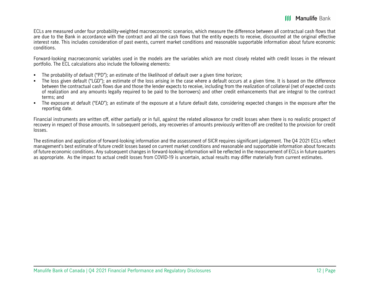ECLs are measured under four probability-weighted macroeconomic scenarios, which measure the difference between all contractual cash flows that are due to the Bank in accordance with the contract and all the cash flows that the entity expects to receive, discounted at the original effective interest rate. This includes consideration of past events, current market conditions and reasonable supportable information about future economic conditions.

Forward-looking macroeconomic variables used in the models are the variables which are most closely related with credit losses in the relevant portfolio. The ECL calculations also include the following elements:

- Е The probability of default ("PD"); an estimate of the likelihood of default over a given time horizon;
- г The loss given default ("LGD"); an estimate of the loss arising in the case where a default occurs at a given time. It is based on the difference between the contractual cash flows due and those the lender expects to receive, including from the realization of collateral (net of expected costs of realization and any amounts legally required to be paid to the borrowers) and other credit enhancements that are integral to the contract terms; and
- The exposure at default ("EAD"); an estimate of the exposure at a future default date, considering expected changes in the exposure after the reporting date.

Financial instruments are written off, either partially or in full, against the related allowance for credit losses when there is no realistic prospect of recovery in respect of those amounts. In subsequent periods, any recoveries of amounts previously written-off are credited to the provision for credit losses.

The estimation and application of forward-looking information and the assessment of SICR requires significant judgement. The Q4 2021 ECLs reflect management's best estimate of future credit losses based on current market conditions and reasonable and supportable information about forecasts of future economic conditions. Any subsequent changes in forward-looking information will be reflected in the measurement of ECLs in future quarters as appropriate. As the impact to actual credit losses from COVID-19 is uncertain, actual results may differ materially from current estimates.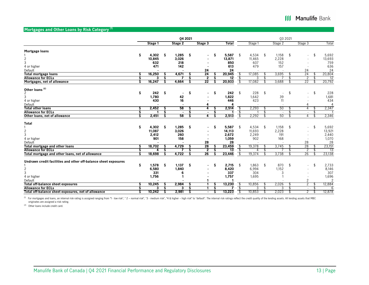#### **Mortgages and Other Loans by Risk Category (1)**

|                                                                 |    |         |     |                | 04 2021 |                |    |              |     |         |    | Q3 2021                  |     |                |               |
|-----------------------------------------------------------------|----|---------|-----|----------------|---------|----------------|----|--------------|-----|---------|----|--------------------------|-----|----------------|---------------|
|                                                                 |    | Stage 1 |     | Stage 2        |         | Stage 3        |    | <b>Total</b> |     | Stage 1 |    | Stage 2                  |     | Stage 3        | Total         |
| Mortgage loans                                                  |    |         |     |                |         |                |    |              |     |         |    |                          |     |                |               |
|                                                                 | \$ | 4,302   | Ŝ   | 1,285          | \$      | ٠              | Ŝ  | 5,587        | \$  | 4,534   | \$ | 1,158                    | \$  | $\sim$         | \$<br>5,692   |
|                                                                 |    |         |     |                |         |                |    |              |     |         |    |                          |     |                |               |
| $\overline{2}$                                                  |    | 10,845  |     | 3,026          |         |                |    | 13,871       |     | 11,465  |    | 2,228                    |     |                | 13,693        |
| 3                                                               |    | 632     |     | 218            |         |                |    | 850          |     | 607     |    | 152                      |     |                | 759           |
| 4 or higher                                                     |    | 471     |     | 142            |         |                |    | 613          |     | 479     |    | 157                      |     |                | 636           |
| Default                                                         |    |         |     |                |         | 24             |    | 24           |     |         |    |                          |     | 24             | 24            |
| <b>Total mortgage loans</b>                                     | s  | 16,250  | s   | 4,671          | S       | 24             | s  | 20,945       | \$  | 17,085  |    | 3,695                    |     | 24             | 20,804        |
| <b>Allowance for ECLs</b>                                       |    | 3       | S   |                | Ŝ       | $\overline{2}$ | S  | 12           | -\$ | 3       |    |                          | £.  | 2              | 12            |
| Mortgages, net of allowance                                     |    | 16,247  | S   | 4,664          | S       | 22             | Ŝ  | 20,933       | -\$ | 17,082  |    | 3,688                    | S   | 22             | 20,792        |
| Other loans <sup>(2)</sup>                                      |    |         |     |                |         |                |    |              |     |         |    |                          |     |                |               |
| 2                                                               | \$ | 242     | \$. | $\sim$         | \$      | $\sim$         | \$ | 242          | \$  | 228     | \$ | $\sim$                   | \$  | $\blacksquare$ | \$<br>228     |
| 3                                                               |    | 1,780   |     | 42             |         |                |    | 1,822        |     | 1,642   |    | 39                       |     |                | 1,681         |
|                                                                 |    | 430     |     | 16             |         |                |    | 446          |     | 423     |    |                          |     |                | 434           |
| 4 or higher                                                     |    |         |     |                |         |                |    |              |     |         |    | 11                       |     |                | 4             |
| Default                                                         |    |         |     |                |         |                |    |              |     |         |    | $\blacksquare$           |     |                |               |
| <b>Total other loans</b>                                        | s  | 2,452   | s   | 58             | S       | 4              | Ŝ  | 2,514        | -\$ | 2,293   | .S | 50                       | \$. | 4              | 2,347         |
| <b>Allowance for ECLs</b>                                       |    |         |     | $\blacksquare$ |         | $\sim$         | S  |              | S   |         |    | $\overline{\phantom{a}}$ |     | $\sim$         |               |
| Other loans, net of allowance                                   |    | 2,451   | s   | 58             | S       | 4              | Ŝ  | 2,513        | -\$ | 2,292   |    | 50                       |     | 4              | 2,346         |
| <b>Total</b>                                                    |    |         |     |                |         |                |    |              |     |         |    |                          |     |                |               |
|                                                                 | Ś  | 4,302   | Ŝ   | 1,285          | \$      | ۰              | Ŝ  | 5,587        | -\$ | 4,534   | \$ | 1,158                    | \$  |                | \$<br>5,692   |
| $\overline{c}$                                                  |    | 11,087  |     | 3,026          |         |                |    | 14,113       |     | 11,693  |    | 2,228                    |     |                | 13,921        |
| 3                                                               |    | 2,412   |     | 260            |         |                |    | 2,672        |     | 2,249   |    | 191                      |     |                | 2,440         |
| 4 or higher                                                     |    | 901     |     | 158            |         |                |    | 1,059        |     | 902     |    | 168                      |     |                | 1,070         |
| Default                                                         |    |         |     |                |         | 28             |    | 28           |     |         |    |                          |     | 28             | 28            |
| Total mortgage and other loans                                  |    | 18,702  |     | 4,729          |         | 28             |    | 23,459       | \$  | 19,378  |    | 3,745                    |     | 28             | 23,151        |
| <b>Allowance for ECLs</b>                                       |    | 4       | Ś   |                | S       | 2              | Ŝ  | 13           | \$  | 4       |    |                          |     | 2              | 13            |
| Total mortgage and other loans, net of allowance                |    | 18,698  |     | 4,722          | Ŝ       | 26             |    | 23,446       | -\$ | 19,374  |    | 3,738                    |     | 26             | 23,138        |
|                                                                 |    |         |     |                |         |                |    |              |     |         |    |                          |     |                |               |
| Undrawn credit facilities and other off-balance sheet exposures |    |         |     |                |         |                |    |              |     |         |    |                          |     |                |               |
|                                                                 | \$ | 1,578   | Ŝ   | 1,137          | Ŝ       | ٠              | Ŝ  | 2,715        | \$  | 1,863   | \$ | 870                      | \$  |                | \$<br>2,733   |
| $\mathbf{2}$                                                    |    | 6,580   |     | 1,840          |         |                |    | 8,420        |     | 6,994   |    | 1,152                    |     |                | 8,146         |
| 3                                                               |    | 331     |     | 6              |         |                |    | 337          |     | 304     |    | 3                        |     |                | 307           |
| 4 or higher                                                     |    | 1,756   |     |                |         |                |    | 1,757        |     | 1,695   |    |                          |     |                | 1,696         |
| Default                                                         |    |         |     |                |         |                |    |              |     |         |    |                          |     | $\overline{c}$ | $\mathcal{P}$ |
| <b>Total off-balance sheet exposures</b>                        |    | 10,245  | s   | 2,984          | S       |                | S  | 13,230       | \$  | 10,856  |    | 2,026                    | \$  | $\overline{2}$ | 12,884        |
| <b>Allowance for ECLs</b>                                       |    | 3       |     | 3              | S       |                | s  |              | S   | 3       |    | 3                        | £.  |                | 6             |
| Total off-balance sheet exposures, net of allowance             |    | 10,242  | S   | 2,981          | S       | $\sim$         | S  | 13,223       | -\$ | 10,853  |    | 2,023                    | S   | $\overline{2}$ | \$<br>12,878  |

<sup>(1)</sup> For mortgages and loans, an internal risk rating is assigned ranging from "1 - low risk", "2 – normal risk", "3 - medium risk", "4 & higher – high risk" to "default". The internal risk ratings reflect the credit qual

(2) Other loans include credit card.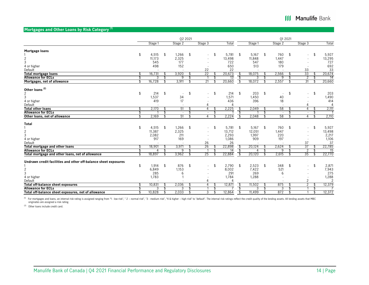### **Mortgages and Other Loans by Risk Category (1)**

|                                                                 |    |         |     | 02 2021 |                                |              |                          |         | 01 20 21     |    |                |              |
|-----------------------------------------------------------------|----|---------|-----|---------|--------------------------------|--------------|--------------------------|---------|--------------|----|----------------|--------------|
|                                                                 |    | Stage 1 |     | Stage 2 | Stage 3                        | Total        |                          | Stage 1 | Stage 2      |    | Stage 3        | Total        |
| Mortgage loans                                                  |    |         |     |         |                                |              |                          |         |              |    |                |              |
|                                                                 | \$ | 4,515   | \$  | 1,266   | \$<br>$\blacksquare$           | \$<br>5,781  | \$                       | 5,167   | \$<br>760    | \$ | $\sim$         | \$<br>5,927  |
| $\mathbf{2}$                                                    |    | 11,173  |     | 2,325   |                                | 13,498       |                          | 11,848  | 1,447        |    |                | 13,295       |
| 3                                                               |    | 545     |     | 177     |                                | 722          |                          | 547     | 180          |    |                | 727          |
|                                                                 |    | 498     |     | 152     |                                | 650          |                          | 513     | 179          |    |                | 692          |
| 4 or higher                                                     |    |         |     |         |                                |              |                          |         |              |    |                |              |
| Default                                                         |    |         |     |         | 22                             | 22           |                          |         |              |    | 33             | 33           |
| <b>Total mortgage loans</b>                                     |    | 16,731  |     | 3,920   | 22                             | 20,673       |                          | 18,075  | 2,566        |    | 33             | 20,674       |
| <b>Allowance for ECLs</b>                                       |    | 3       |     | 9       |                                | 13           | -\$                      | 3       | 9            | \$ | $\overline{2}$ | 14           |
| Mortgages, net of allowance                                     |    | 16,728  |     | 3,911   | \$<br>21                       | 20,660       | -\$                      | 18,072  | 2,557        | \$ | 31             | 20,660       |
| Other loans <sup>(2)</sup>                                      |    |         |     |         |                                |              |                          |         |              |    |                |              |
| 2                                                               | \$ | 214     | \$  | $\sim$  | \$<br>$\overline{\phantom{a}}$ | \$<br>214    | \$                       | 203     | \$<br>$\sim$ | \$ |                | \$<br>203    |
| 3                                                               |    | 1,537   |     | 34      |                                | 1,571        |                          | 1,450   | 40           |    |                | 1,490        |
| 4 or higher                                                     |    | 419     |     | 17      |                                | 436          |                          | 396     | 18           |    |                | 414          |
| Default                                                         |    |         |     |         |                                |              |                          |         |              |    |                | $\Delta$     |
|                                                                 |    |         |     |         |                                |              |                          |         |              |    |                |              |
| <b>Total other loans</b>                                        | ፍ  | 2,170   |     | 51      | $\overline{4}$                 | \$<br>2,225  | \$                       | 2,049   | \$<br>58     | \$ | 4              | \$<br>2,111  |
| <b>Allowance for ECLs</b>                                       |    |         |     | $\sim$  | $\sim$                         |              | $\overline{\mathsf{S}}$  |         | $\sim$       |    | $\sim$         |              |
| Other loans, net of allowance                                   |    | 2,169   |     | 51      | 4                              | 2,224        | -\$                      | 2,048   | 58           |    | 4              | \$<br>2,110  |
| <b>Total</b>                                                    |    |         |     |         |                                |              |                          |         |              |    |                |              |
|                                                                 | \$ | 4,515   | -\$ | 1,266   | \$<br>$\overline{\phantom{a}}$ | \$<br>5,781  | \$                       | 5,167   | \$<br>760    | \$ |                | \$<br>5,927  |
| $\overline{c}$                                                  |    | 11,387  |     | 2,325   |                                | 13,712       |                          | 12,051  | 1,447        |    |                | 13,498       |
| 3                                                               |    | 2,082   |     | 211     |                                | 2,293        |                          | 1,997   | 220          |    |                | 2,217        |
| 4 or higher                                                     |    | 917     |     | 169     |                                | 1,086        |                          | 909     | 197          |    |                | 1,106        |
| Default                                                         |    |         |     |         | 26                             | 26           |                          |         |              |    | 37             | 37           |
| <b>Total mortgage and other loans</b>                           |    | 18,901  |     | 3,971   | 26                             | 22,898       | S                        | 20,124  | 2,624        |    | 37             | 22,785       |
| <b>Allowance for ECLs</b>                                       |    |         |     | 9       |                                | 14           | $\overline{\mathcal{E}}$ |         | q            |    | 2              | 15           |
| Total mortgage and other loans, net of allowance                |    | 18,897  |     | 3,962   | 25                             | 22,884       | -\$                      | 20,120  | 2,615        | \$ | 35             | 22,770       |
|                                                                 |    |         |     |         |                                |              |                          |         |              |    |                |              |
| Undrawn credit facilities and other off-balance sheet exposures |    |         |     |         |                                |              |                          |         |              |    |                |              |
|                                                                 | \$ | 1,914   | \$  | 876     | \$                             | \$<br>2,790  | \$                       | 2,523   | \$<br>348    | \$ |                | \$<br>2,871  |
| 2                                                               |    | 6,849   |     | 1,153   |                                | 8,002        |                          | 7,422   | 521          |    |                | 7,943        |
| 3                                                               |    | 285     |     | 6       |                                | 291          |                          | 269     | 6            |    |                | 275          |
| 4 or higher                                                     |    | 1,783   |     |         |                                | 1,784        |                          | 1,288   |              |    |                | 1,288        |
| Default                                                         |    |         |     |         |                                |              |                          |         |              |    | $\overline{c}$ | 2            |
| <b>Total off-balance sheet exposures</b>                        |    | 10,831  |     | 2,036   | 4                              | \$<br>12,871 | \$                       | 11,502  | 875          | \$ | 2              | 12,379       |
| <b>Allowance for ECLs</b>                                       |    |         |     | 3       |                                | \$           | \$                       | 3       | 3            | \$ |                | \$           |
| Total off-balance sheet exposures, net of allowance             |    | 10,828  | \$. | 2,033   | \$<br>3                        | \$<br>12.864 | -\$                      | 11,499  | \$<br>872    | S  |                | \$<br>12,372 |
|                                                                 |    |         |     |         |                                |              |                          |         |              |    |                |              |

<sup>(1)</sup> For mortgages and loans, an internal risk rating is assigned ranging from "1 - low risk", "2 – normal risk", "3 - medium risk", "4 & higher – high risk" to "default". The internal risk ratings reflect the credit qual

(2) Other loans include credit card.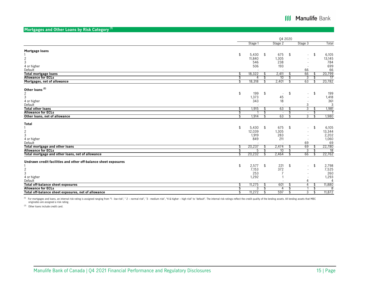### **Mortgages and Other Loans by Risk Category (1)**

|                                                                 |    |         |     | 04 2020 |     |         |     |        |
|-----------------------------------------------------------------|----|---------|-----|---------|-----|---------|-----|--------|
|                                                                 |    | Stage 1 |     | Stage 2 |     | Stage 3 |     | Total  |
| Mortgage loans                                                  |    |         |     |         |     |         |     |        |
|                                                                 | \$ | 5,430   | \$  | 675     | \$  | ÷.      | -\$ | 6,105  |
|                                                                 |    | 11,840  |     | 1,305   |     |         |     | 13,145 |
| $\frac{2}{3}$                                                   |    | 546     |     | 238     |     |         |     | 784    |
| 4 or higher                                                     |    | 506     |     | 193     |     |         |     | 699    |
| Default                                                         |    |         |     |         |     | 66      |     | 66     |
|                                                                 | \$ | 18,322  | \$. | 2,411   | S   | 66      | S   | 20,799 |
| <b>Total mortgage loans</b><br><b>Allowance for ECLs</b>        | \$ | 4       | £.  | 10      | \$  | 3       |     | 17     |
| Mortgages, net of allowance                                     |    | 18,318  |     | 2,401   | \$  | 63      |     | 20,782 |
|                                                                 |    |         |     |         |     |         |     |        |
| Other loans <sup>(2)</sup>                                      |    |         |     |         |     |         |     |        |
| $\overline{2}$                                                  | \$ | 199     | \$  | $\sim$  | \$  | $\sim$  | \$  | 199    |
| 3                                                               |    | 1,373   |     | 45      |     |         |     | 1,418  |
| 4 or higher                                                     |    | 343     |     | 18      |     |         |     | 361    |
| Default                                                         |    |         |     |         |     | 3       |     | 3      |
| <b>Total other loans</b>                                        | \$ | 1,915   | \$  | 63      | \$  | 3       | \$  | 1,981  |
| <b>Allowance for ECLs</b>                                       | \$ |         | \$  | $\sim$  | \$  | $\sim$  | \$  |        |
| Other loans, net of allowance                                   | S  | 1,914   | Ŝ,  | 63      | \$  | 3       | \$  | 1,980  |
|                                                                 |    |         |     |         |     |         |     |        |
| Total                                                           |    |         |     |         |     |         |     |        |
|                                                                 | \$ | 5,430   | \$  | 675     | \$  | $\sim$  | \$  | 6,105  |
| $\overline{c}$                                                  |    | 12,039  |     | 1,305   |     |         |     | 13,344 |
| 3                                                               |    | 1,919   |     | 283     |     |         |     | 2,202  |
| 4 or higher                                                     |    | 849     |     | 211     |     |         |     | 1,060  |
| Default                                                         |    |         |     |         |     | 69      |     | 69     |
| <b>Total mortgage and other loans</b>                           | \$ | 20,237  |     | 2,474   |     | 69      |     | 22,780 |
| <b>Allowance for ECLs</b>                                       |    | 5       |     | 10      | \$  | 3       |     | 18     |
| Total mortgage and other loans, net of allowance                |    | 20,232  | \$  | 2,464   | \$  | 66      | \$  | 22,762 |
|                                                                 |    |         |     |         |     |         |     |        |
| Undrawn credit facilities and other off-balance sheet exposures |    |         |     |         |     |         |     |        |
|                                                                 | \$ | 2,577   | \$  | 221     | \$  |         | -\$ | 2,798  |
| $\overline{c}$                                                  |    | 7,153   |     | 372     |     |         |     | 7,525  |
| 3                                                               |    | 253     |     |         |     |         |     | 260    |
| 4 or higher                                                     |    | 1,292   |     |         |     |         |     | 1,293  |
| Default                                                         |    |         |     |         |     | 4       |     | 4      |
| Total off-balance sheet exposures                               | \$ | 11,275  |     | 601     | \$  | 4       | \$  | 11,880 |
| <b>Allowance for ECLs</b>                                       | S  | 3       |     | 4       | \$  |         | \$  | 8      |
| Total off-balance sheet exposures, net of allowance             | \$ | 11,272  | \$  | 597     | -\$ | 3       | \$  | 11,872 |

<sup>(1)</sup> For mortgages and loans, an internal risk rating is assigned ranging from "1 - low risk", "2 – normal risk", "3 - medium risk", "4 & higher – high risk" to "default". The internal risk ratings reflect the credit qual

(2) Other loans include credit card.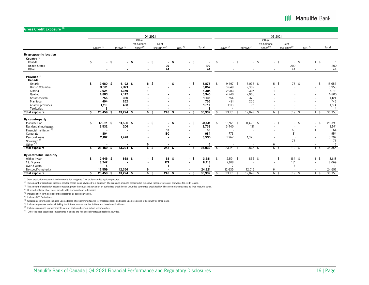### **III Manulife Bank**

#### **Gross Credit Exposure (1)**

|                                                  |    |                      |                        |                | 04 2021                             |        |                                   |                    |      |        |     |                      |        |                        |        |                                     | 03 20 21       |                            |                    |                          |                |
|--------------------------------------------------|----|----------------------|------------------------|----------------|-------------------------------------|--------|-----------------------------------|--------------------|------|--------|-----|----------------------|--------|------------------------|--------|-------------------------------------|----------------|----------------------------|--------------------|--------------------------|----------------|
|                                                  |    | Drawn <sup>(2)</sup> | Undrawn <sup>(3)</sup> |                | Other<br>off-balance<br>sheet $(4)$ |        | Debt<br>securities <sup>(5)</sup> | OTC <sup>(6)</sup> |      | Total  |     | Drawn <sup>(2)</sup> |        | Undrawn <sup>(3)</sup> |        | Other<br>off-balance<br>sheet $(4)$ |                | Debt<br>$securities^{(5)}$ | OTC <sup>(6)</sup> |                          | Total          |
| By geographic location<br>Country <sup>(7)</sup> |    |                      |                        |                |                                     |        |                                   |                    |      |        |     |                      |        |                        |        |                                     |                |                            |                    |                          |                |
| Canada                                           | \$ |                      | $\cdot$ \$             | $-$ \$         |                                     | $-$ \$ | - \$                              | $\blacksquare$     | -\$  |        | \$  |                      | $-$ \$ |                        | $-$ \$ |                                     | $-$ \$         | $-5$                       |                    | \$<br>$\mathbf{1}$       |                |
| <b>United States</b>                             |    |                      |                        |                | $\overline{\phantom{a}}$            |        | 199                               | $\overline{a}$     |      | 199    |     |                      |        |                        |        | $\sim$                              |                | 200                        |                    | $\sim$                   | 200            |
| Other                                            |    |                      |                        |                |                                     |        | 44                                |                    |      | 44     |     |                      |        |                        |        | $\overline{\phantom{a}}$            |                | 44                         |                    |                          | 44             |
| Province $^{(7)}$<br>Canada                      |    |                      |                        |                |                                     |        |                                   |                    |      |        |     |                      |        |                        |        |                                     |                |                            |                    |                          |                |
| Ontario                                          | \$ | $9,680$ \$           |                        | $6,192$ \$     | 5 <sup>5</sup>                      |        | - \$                              | $\blacksquare$     | - Ŝ  | 15,877 | \$  | $9,497$ \$           |        | $6,076$ \$             |        |                                     | 5 <sup>5</sup> | 75 \$                      |                    | \$<br>$\sim$             | 15,653         |
| <b>British Columbia</b>                          |    | 3,681                |                        | 2,371          | $\blacksquare$                      |        |                                   | $\blacksquare$     |      | 6,052  |     | 3,649                |        | 2,309                  |        |                                     |                |                            |                    |                          | 5,958          |
| Alberta                                          |    | 2,924                |                        | 1,379          | 1                                   |        |                                   | $\blacksquare$     |      | 4,304  |     | 2,903                |        | 1,307                  |        |                                     |                |                            |                    | $\overline{\phantom{a}}$ | 4,211          |
| Quebec                                           |    | 4,803                |                        | 2,142          |                                     |        |                                   | $\blacksquare$     |      | 6,945  |     | 4,740                |        | 2,060                  |        |                                     |                |                            |                    | $\sim$                   | 6,800          |
| Saskatchewan                                     |    | 755                  |                        | 380            |                                     |        |                                   | $\overline{a}$     |      | 1,135  |     | 754                  |        | 370                    |        |                                     |                |                            |                    | $\sim$                   | 1,124          |
| Manitoba                                         |    | 494                  |                        | 262            |                                     |        |                                   | $\overline{a}$     |      | 756    |     | 491                  |        | 255                    |        |                                     |                |                            |                    |                          | 746            |
| Atlantic provinces                               |    | 1,119                |                        | 498            |                                     |        |                                   | $\overline{a}$     |      | 1,617  |     | 1,113                |        | 501                    |        |                                     |                |                            |                    |                          | 1,614          |
| Territories                                      |    | 3                    |                        |                |                                     |        |                                   |                    |      | 3      |     |                      |        |                        |        |                                     |                |                            |                    |                          | $\overline{4}$ |
| <b>Total exposure</b>                            | Ŝ. | $23,459$ \$          |                        | $13,224$ \$    | $6\sqrt{5}$                         |        | 243S                              |                    | - \$ | 36,932 | -\$ | $23,151$ \$          |        | $12,878$ \$            |        |                                     | 6 <sup>5</sup> | $319$ \$                   |                    | 1 \$                     | 36,355         |
| By counterparty                                  |    |                      |                        |                |                                     |        |                                   |                    |      |        |     |                      |        |                        |        |                                     |                |                            |                    |                          |                |
| Manulife One                                     | \$ | 17,021 \$            |                        | 11,590 \$      |                                     | $-$ \$ | - \$                              | $\blacksquare$     | -\$  | 28,611 | \$  | 16,971 \$            |        | $11,422$ \$            |        |                                     | $-$ \$         | $-$ \$                     |                    | \$<br>$\sim$             | 28,393         |
| Residential mortgages                            |    | 3,532                |                        | 206            | $\overline{\phantom{a}}$            |        | $\sim$                            | $\blacksquare$     |      | 3,738  |     | 3,440                |        | 131                    |        | $\overline{\phantom{a}}$            |                | $\overline{\phantom{a}}$   |                    |                          | 3,571          |
| Financial institution <sup>(8)</sup>             |    |                      |                        |                | $\blacksquare$                      |        | 63                                |                    |      | 63     |     |                      |        |                        |        | $\overline{\phantom{a}}$            |                | 63                         |                    |                          | 64             |
| Corporate                                        |    | 804                  |                        |                |                                     |        | 180                               |                    |      | 984    |     | 773                  |        |                        |        |                                     |                | 181                        |                    |                          | 954            |
| Personal loans                                   |    | 2,102                |                        | 1,428          |                                     |        |                                   |                    |      | 3,530  |     | 1,967                |        | 1,325                  |        |                                     |                | $\sim$                     |                    |                          | 3,292          |
| Sovereign <sup>(9)</sup>                         |    |                      |                        |                |                                     |        |                                   |                    |      |        |     |                      |        |                        |        |                                     |                | 75                         |                    |                          | 75             |
| Other <sup>(10)</sup>                            |    |                      |                        |                | 6                                   |        |                                   |                    |      | 6      |     |                      |        |                        |        | 6                                   |                |                            |                    |                          | 6              |
| <b>Total exposure</b>                            | s  | $23,459$ \$          |                        | $13,224$ \$    | 6 <sup>5</sup>                      |        | 243S                              | $\blacksquare$     | - Ŝ  | 36,932 | -\$ | 23,151               |        | $12,878$ \$            |        |                                     | 6 \$           | $319$ \$                   |                    | - \$                     | 36,355         |
| By contractual maturity                          |    |                      |                        |                |                                     |        |                                   |                    |      |        |     |                      |        |                        |        |                                     |                |                            |                    |                          |                |
| Within 1 year                                    | \$ | $2,645$ \$           |                        | 868 \$         | - \$                                |        | 68 \$                             | $\blacksquare$     | \$.  | 3,581  | \$  | $2,591$ \$           |        | 862 \$                 |        |                                     | $-$ \$         | $164$ \$                   |                    | \$<br>$\mathbf{1}$       | 3,618          |
| 1 to 5 years                                     |    | 8,247                |                        | $\blacksquare$ | $\overline{\phantom{a}}$            |        | 171                               | $\blacksquare$     |      | 8,418  |     | 7,918                |        |                        |        | $\overline{\phantom{a}}$            |                | 151                        |                    | $\sim$                   | 8,069          |
| Over 5 years                                     |    | 8                    |                        |                |                                     |        | 4                                 |                    |      | 12     |     | $\overline{7}$       |        |                        |        |                                     |                | $\overline{4}$             |                    |                          | 11             |
| No specific maturity                             |    | 12,559               |                        | 12,356         | 6                                   |        |                                   |                    |      | 24,921 |     | 12,635               |        | 12,016                 |        | 6                                   |                |                            |                    |                          | 24,657         |
|                                                  | Ŝ  | $23,459$ \$          |                        |                | 6 <sup>5</sup>                      |        | 243S                              |                    |      | 36,932 | Ŝ.  |                      |        |                        |        | 6                                   |                | 319S                       |                    |                          | 36,355         |
| <b>Total exposure</b>                            |    |                      |                        | $13,224$ \$    |                                     |        |                                   |                    | . s  |        |     | 23,151               | -\$    | $12,878$ \$            |        |                                     | -\$            |                            |                    | - \$                     |                |

 $(1)$  Gross credit risk exposure is before credit risk mitigants. This table excludes equity exposures.

(2) The amount of credit risk exposure resulting from loans advanced to a borrower. The exposure amounts presented in the above tables are gross of allowance for credit losses.

(3) The amount of credit risk exposure resulting from the unutilized portion of an authorized credit line or unfunded committed credit facility. These commitments have no fixed maturity dates.

(4) Other off-balance sheet items include letters of credit and indemnities.

(5) Includes short-term debt securities classified as cash equivalents.

(6) Includes OTC Derivatives.

 $^{(7)}$  Geographic information is based upon address of property mortgaged for mortgage loans and based upon residence of borrower for other loans.

(8) Includes exposures to deposit taking institutions, contractual institutions and investment institutes.

 $(9)$  Includes exposures to governments, central banks and certain public sector entities.

(10) Other includes securitized investments in bonds and Residential Mortgage Backed Securities.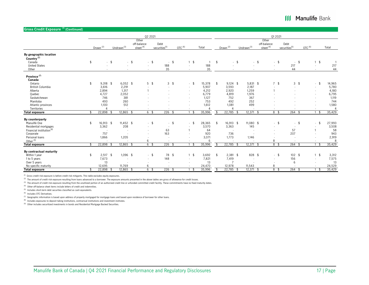### **III Manulife Bank**

#### **Gross Credit Exposure (1) (Continued)**

|                                                                          |                                    |        |                                 |        | 02 2021                                              |                                   |                    |                                                           |                          |      |                              |                                    |        | 01 20 21                                             |                                   |                |                                      |                          |
|--------------------------------------------------------------------------|------------------------------------|--------|---------------------------------|--------|------------------------------------------------------|-----------------------------------|--------------------|-----------------------------------------------------------|--------------------------|------|------------------------------|------------------------------------|--------|------------------------------------------------------|-----------------------------------|----------------|--------------------------------------|--------------------------|
|                                                                          |                                    |        |                                 |        | Other                                                |                                   |                    |                                                           |                          |      |                              |                                    |        | Other                                                |                                   |                |                                      |                          |
|                                                                          | $Drawn^{(2)}$                      |        | Undrawn <sup>(3)</sup>          |        | off-balance<br>sheet <sup>(4)</sup>                  | Debt<br>securities <sup>(5)</sup> | OTC <sup>(6)</sup> |                                                           | Total                    |      | $Drawn^{(2)}$                | Undrawn <sup>(3)</sup>             |        | off-balance<br>sheet <sup>(4)</sup>                  | Debt<br>securities <sup>(5)</sup> |                | OTC <sup>(6)</sup>                   | Total                    |
| By geographic location<br>Country <sup>(7)</sup><br>Canada               | \$                                 | $-$ \$ |                                 | $-$ \$ | $-$ \$                                               | \$<br>$\sim$                      |                    | \$<br>$\mathbf{1}$                                        | $\overline{1}$           | \$   | $-5$                         |                                    | $-$ \$ | $-$ \$                                               |                                   | $-$ \$         | \$<br>$\mathbf{1}$                   | $\overline{1}$           |
| <b>United States</b><br>Other                                            | $\sim$                             |        |                                 |        | $\sim$                                               | 188<br>35                         |                    | $\sim$                                                    | 188<br>35                |      | $\overline{\phantom{a}}$     |                                    |        | $\overline{\phantom{a}}$                             | 217<br>44                         |                | $\sim$                               | 217<br>44                |
|                                                                          |                                    |        |                                 |        | $\overline{\phantom{a}}$                             |                                   |                    |                                                           |                          |      | $\overline{\phantom{a}}$     |                                    |        | $\overline{\phantom{a}}$                             |                                   |                |                                      |                          |
| Province <sup>(7)</sup><br>Canada                                        |                                    |        |                                 |        |                                                      |                                   |                    |                                                           |                          |      |                              |                                    |        |                                                      |                                   |                |                                      |                          |
| Ontario<br>British Columbia<br>Alberta                                   | \$<br>$9,318$ \$<br>3,616<br>2,894 |        | $6,052$ \$<br>2,291<br>1,317    |        | 5 <sup>5</sup><br>$\overline{\phantom{a}}$           | 3 <sup>5</sup>                    |                    | \$<br>$\sim$<br>$\sim$<br>$\sim$                          | 15,378<br>5,907<br>4,212 | \$   | $9,124$ \$<br>3,593<br>2,920 | $5,831$ \$<br>2,187<br>1,259       |        | 7 <sup>5</sup><br>$\overline{\phantom{a}}$           |                                   | 3 <sup>5</sup> | \$<br>$\sim$<br>$\sim$<br>$\sim$     | 14,965<br>5,780<br>4,180 |
| Ouebec<br>Saskatchewan<br>Manitoba                                       | 4,727<br>746<br>493                |        | 2,052<br>381<br>260             |        |                                                      |                                   |                    | ٠<br>٠                                                    | 6,779<br>1,127<br>753    |      | 4,819<br>752<br>492          | 1,976<br>367<br>252                |        |                                                      |                                   |                | ٠                                    | 6,795<br>1,119<br>744    |
| Atlantic provinces<br>Territories                                        | 1,100<br>$\Delta$                  |        | 512<br>$\overline{\phantom{a}}$ |        |                                                      |                                   |                    |                                                           | 1,612<br>$\overline{4}$  |      | 1,081<br>$\overline{A}$      | 499                                |        |                                                      |                                   |                |                                      | 1,580<br>$\overline{4}$  |
| <b>Total exposure</b>                                                    | 22,898                             |        | 12,865                          | - \$   | 6 <sup>3</sup>                                       | $226$ \$                          |                    | -\$                                                       | 35,996                   | - \$ | $22,785$ \$                  | 12,371                             | - \$   | 8 <sup>5</sup>                                       | 264                               | - \$           | \$                                   | 35,429                   |
| By counterparty<br>Manulife One                                          | \$<br>16,913 \$                    |        | $11,452$ \$                     |        | $-$ \$                                               | \$<br>$\sim$                      |                    | \$<br>÷                                                   | 28,365                   | \$   | 16,913 \$                    | 11,080 \$                          |        | $-$ \$                                               | $\sim$                            | $\sqrt{2}$     | \$<br>÷                              | 27,993                   |
| Residential mortgages<br>Financial institution <sup>(8)</sup>            | 3,362<br>$\overline{\phantom{a}}$  |        | 208<br>$\overline{\phantom{a}}$ |        | $\overline{\phantom{a}}$<br>$\overline{\phantom{a}}$ | 63                                |                    |                                                           | 3,570<br>64              |      | 3,363<br>$\sim$              | 145                                |        | $\overline{\phantom{a}}$<br>$\overline{\phantom{a}}$ | 57                                |                |                                      | 3,508<br>58              |
| Corporate<br>Personal loans<br>Other <sup>(9)</sup>                      | 757<br>1,866                       |        | 1,205                           |        | $\overline{\phantom{a}}$<br>6                        | 163                               |                    |                                                           | 920<br>3,071<br>6        |      | 736<br>1,773                 | 1,146                              |        | $\overline{\phantom{a}}$<br>8                        | 207                               |                |                                      | 943<br>2,919<br>8        |
| <b>Total exposure</b>                                                    | 22,898                             |        | 12,865                          | - \$   | 6 \$                                                 | $226$ \$                          |                    | - \$                                                      | 35,996                   |      | 22,785                       | 12,371                             |        | 8 <sup>5</sup>                                       | 264                               | - \$           | - \$                                 | 35,429                   |
|                                                                          |                                    |        |                                 |        |                                                      |                                   |                    |                                                           |                          |      |                              |                                    |        |                                                      |                                   |                |                                      |                          |
| By contractual maturity<br>Within 1 year<br>1 to 5 years<br>Over 5 years | \$<br>$2,517$ \$<br>7,673<br>13    |        | $1,096$ \$<br>$\sim$            |        | $-$ \$<br>$\sim$                                     | 78 \$<br>148                      |                    | -\$<br>$\mathbf{1}$<br>$\sim$<br>$\overline{\phantom{a}}$ | 3,692<br>7,821<br>13     | \$   | $2,381$ \$<br>7,419          | 828 \$<br>$\overline{\phantom{a}}$ |        | $-$ \$<br>$\overline{\phantom{a}}$<br>$\overline{a}$ | $102 - $$<br>156<br>6             |                | \$<br>$\mathbf{1}$<br>$\overline{a}$ | 3,312<br>7,575<br>13     |
| No specific maturity                                                     | 12,695                             |        | 11,769                          |        | 6                                                    |                                   |                    |                                                           | 24,470                   |      | 12,978                       | 11,543                             |        | 8                                                    |                                   |                |                                      | 24,529                   |
| <b>Total exposure</b>                                                    | 22,898                             |        | 12,865                          | - 3    | 6 <sup>5</sup>                                       | $226$ \$                          |                    | 1 <sup>5</sup>                                            | 35,996                   |      | 22,785                       | 12,371                             | - \$   | 8 <sup>5</sup>                                       | $264$ \$                          |                | - \$                                 | 35,429                   |

 $^{(1)}$  Gross credit risk exposure is before credit risk mitigants. This table excludes equity exposures.

(2) The amount of credit risk exposure resulting from loans advanced to a borrower. The exposure amounts presented in the above tables are gross of allowance for credit losses.

(3) The amount of credit risk exposure resulting from the unutilized portion of an authorized credit line or unfunded committed credit facility. These commitments have no fixed maturity dates.

<sup>(4)</sup> Other off-balance sheet items include letters of credit and indemnities.

 $(5)$  Includes short-term debt securities classified as cash equivalents.

(6) Includes OTC Derivatives.

 $^{(7)}$  Geographic information is based upon address of property mortgaged for mortgage loans and based upon residence of borrower for other loans.

(8) Includes exposures to deposit taking institutions, contractual institutions and investment institutes.

(9) Other includes securitized investments in bonds and Residential Mortgage Backed Securities.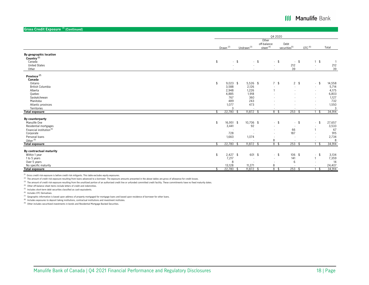**Gross Credit Exposure** <sup>(1)</sup> (Continue

| dioss cream Exposure (commuted)      |    |                      |                          |                          |                          |                    |                |
|--------------------------------------|----|----------------------|--------------------------|--------------------------|--------------------------|--------------------|----------------|
|                                      |    |                      |                          | Q4 2020                  |                          |                    |                |
|                                      |    |                      |                          | Other                    |                          |                    |                |
|                                      |    |                      |                          | off-balance              | Debt                     |                    |                |
|                                      |    | Drawn <sup>(2)</sup> | Undrawn <sup>(3)</sup>   | sheet $(4)$              | $securities^{(5)}$       | OTC <sup>(6)</sup> | Total          |
|                                      |    |                      |                          |                          |                          |                    |                |
| By geographic location               |    |                      |                          |                          |                          |                    |                |
| Country <sup>(7)</sup>               |    |                      |                          |                          |                          |                    |                |
| Canada                               | \$ | $-$ \$               |                          | $-$ \$<br>$-$ \$         | $-$ \$                   | $1 \quad$          | $\overline{1}$ |
| <b>United States</b>                 |    |                      | $\overline{a}$           | $\sim$                   | 212                      | $\sim$             | 212            |
| Other                                |    |                      |                          | $\sim$                   | 39                       |                    | 39             |
|                                      |    |                      |                          |                          |                          |                    |                |
| Province <sup>(7)</sup>              |    |                      |                          |                          |                          |                    |                |
| Canada                               |    |                      |                          |                          |                          |                    |                |
| Ontario                              | \$ | $9,023$ \$           | 5,526 \$                 | 7 <sup>5</sup>           | $2 \quad$                | \$<br>$\sim$       | 14,558         |
| British Columbia                     |    | 3,588                | 2,126                    |                          | $\sim$                   | $\blacksquare$     | 5,714          |
| Alberta                              |    | 2,948                | 1,226                    |                          |                          |                    | 4,175          |
| Quebec                               |    | 4,885                | 1,918                    |                          |                          | $\sim$             | 6,803          |
| Saskatchewan                         |    | 767                  | 360                      |                          |                          | $\sim$             | 1,127          |
| Manitoba                             |    | 489                  | 243                      |                          |                          | $\sim$             | 732            |
| Atlantic provinces                   |    | 1,077                | 473                      |                          |                          |                    | 1,550          |
| Territories                          |    | 3                    |                          |                          |                          |                    | $\overline{3}$ |
| <b>Total exposure</b>                |    | $22,780$ \$          | $11,872$ \$              | 8 <sup>8</sup>           | $253$ \$                 | - \$               | 34,914         |
| By counterparty                      |    |                      |                          |                          |                          |                    |                |
| Manulife One                         | \$ | 16,951 \$            | 10,706 \$                | $-5$                     | -\$<br>$\sim$            | \$<br>$\sim$       | 27,657         |
| Residential mortgages                |    | 3,441                | 92                       | $\blacksquare$           |                          |                    | 3,533          |
| Financial institution <sup>(8)</sup> |    |                      | $\overline{\phantom{a}}$ | $\sim$                   | 66                       |                    | 67             |
| Corporate                            |    | 728                  | $\overline{\phantom{a}}$ | $\overline{\phantom{a}}$ | 187                      |                    | 915            |
| Personal loans                       |    | 1,660                | 1,074                    |                          | $\overline{\phantom{a}}$ |                    | 2,734          |
| Other <sup>(9)</sup>                 |    |                      |                          | 8                        | $\overline{\phantom{a}}$ |                    | 8              |
| <b>Total exposure</b>                | -ፍ | 22,780 \$            | $11,872$ \$              | 8\$                      | $253$ \$                 | - \$               | 34,914         |
|                                      |    |                      |                          |                          |                          |                    |                |
| By contractual maturity              |    |                      |                          |                          |                          |                    |                |
| Within 1 year                        | \$ | $2,427$ \$           | 601 \$                   | $-5$                     | 106 \$                   | \$<br>$\sim$       | 3,134          |
| 1 to 5 years                         |    | 7,217                | $\overline{\phantom{a}}$ | $\sim$                   | 141                      |                    | 7,359          |
| Over 5 years                         |    | 8                    | $\overline{\phantom{a}}$ |                          | 6                        |                    | 14             |
| No specific maturity                 |    | 13,128               | 11,271                   | 8                        |                          |                    | 24,407         |
| <b>Total exposure</b>                |    | 22,780               | $11,872$ \$              | 8\$                      | $253$ \$                 |                    | 34,914         |

 $(1)$  Gross credit risk exposure is before credit risk mitigants. This table excludes equity exposures.

(2) The amount of credit risk exposure resulting from loans advanced to a borrower. The exposure amounts presented in the above tables are gross of allowance for credit losses.

(3) The amount of credit risk exposure resulting from the unutilized portion of an authorized credit line or unfunded committed credit facility. These commitments have no fixed maturity dates.

(4) Other off-balance sheet items include letters of credit and indemnities.

 $(5)$  Includes short-term debt securities classified as cash equivalents.

(6) Includes OTC Derivatives.

 $^{(7)}$  Geographic information is based upon address of property mortgaged for mortgage loans and based upon residence of borrower for other loans.

(8) Includes exposures to deposit taking institutions, contractual institutions and investment institutes.

 $(9)$  Other includes securitized investments in bonds and Residential Mortgage Backed Securities.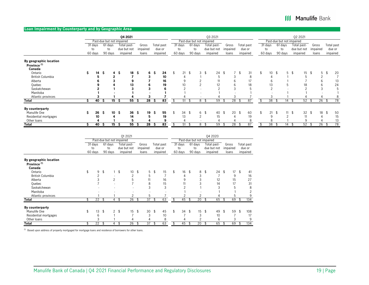#### **Loan Impairment by Counterparty and by Geographic Area**

|                         |    |                           |          |                 |    | Q4 2021     |          |          |     |            |          |      |                           |      | Q3 2021     |    |                 |    |            |                           |         |     | Q2 2021       |          |            |
|-------------------------|----|---------------------------|----------|-----------------|----|-------------|----------|----------|-----|------------|----------|------|---------------------------|------|-------------|----|-----------------|----|------------|---------------------------|---------|-----|---------------|----------|------------|
|                         |    | Past-due but not impaired |          |                 |    |             |          |          |     |            |          |      | Past-due but not impaired |      |             |    |                 |    |            | Past-due but not impaired |         |     |               |          |            |
|                         |    | 31 days                   | 61 days  |                 |    | Total past- |          | Gross    |     | Total past | 31 days  |      | 61 days                   |      | Total past- |    | Gross           |    | Total past | 31 days                   | 61 days |     | Total past-   | Gross    | Total past |
|                         |    | to                        | to       |                 |    | due but not |          | impaired |     | due or     | to       |      | to                        |      | due but not |    | impaired        |    | due or     | to                        | to      |     | due but not   | impaired | due or     |
|                         |    | 60 days                   | 90 days  |                 |    | impaired    |          | loans    |     | impaired   | 60 days  |      | 90 days                   |      | impaired    |    | loans           |    | impaired   | 60 days                   | 90 days |     | impaired      | loans    | impaired   |
| By geographic location  |    |                           |          |                 |    |             |          |          |     |            |          |      |                           |      |             |    |                 |    |            |                           |         |     |               |          |            |
| Province <sup>(1)</sup> |    |                           |          |                 |    |             |          |          |     |            |          |      |                           |      |             |    |                 |    |            |                           |         |     |               |          |            |
| Canada                  |    |                           |          |                 |    |             |          |          |     |            |          |      |                           |      |             |    |                 |    |            |                           |         |     |               |          |            |
| Ontario                 | \$ | 14                        | -Ŝ       | $4 \text{ }$    |    | 18          | Ŝ        | 6        | - S | 24         | 21       | \$   | 3                         | \$   | 24          | \$ |                 | \$ | 31         | 10                        | 5       | -\$ | $15 \quad$ \$ | 5        | 20         |
| British Columbia        |    |                           |          |                 |    |             |          |          |     | 10         |          |      |                           |      | b           |    |                 |    | ŏ          |                           |         |     |               |          |            |
| Alberta                 |    |                           |          |                 |    |             |          |          |     | 16         |          |      |                           |      |             |    |                 |    |            |                           |         |     |               |          | 13         |
| Quebec                  |    |                           |          |                 |    | 13          |          |          |     | 19         | 10       |      | $\Omega$                  |      | 12          |    |                 |    | 18         | 13                        |         |     | 18            | b        | 24         |
| Saskatchewan            |    |                           |          |                 |    |             |          |          |     |            |          |      |                           |      | $\sim$      |    |                 |    |            | $\overline{2}$            |         |     |               |          | 5          |
| Manitoba                |    |                           |          |                 |    |             |          |          |     |            |          |      |                           |      |             |    |                 |    |            |                           |         |     |               |          |            |
| Atlantic provinces      |    |                           |          |                 |    |             |          |          |     |            |          |      |                           |      |             |    |                 |    |            |                           |         |     |               |          |            |
| <b>Total</b>            |    | 40                        | <b>ت</b> | 15              | -S | 55          | <b>ت</b> | 28       | ১   | 83         | 51       |      | 8                         |      | 59          |    | $2\overline{8}$ | P  | 87         | 38                        | 14      |     | 52            | 26       | 78         |
| By counterparty         |    |                           |          |                 |    |             |          |          |     |            |          |      |                           |      |             |    |                 |    |            |                           |         |     |               |          |            |
| Manulife One            | Ś  | 26                        | Ŝ        | 10 <sup>5</sup> |    | 36          | - Ŝ      | 19       | Ŝ   | 55         | \$<br>34 | \$   | 6                         | \$   | 40          | \$ | 20              | \$ | 60         | 21                        | 11      |     | $32 \quad $$  | 18       | \$<br>50   |
| Residential mortgages   |    | 10                        |          |                 |    | 14          |          |          |     | 19         | 13       |      | $\Omega$                  |      | 15          |    |                 |    | 19         |                           |         |     |               |          | 15         |
| Other loans             |    |                           |          |                 |    |             |          |          |     |            |          |      |                           |      |             |    |                 |    |            |                           |         |     | 9             |          | 13         |
| <b>Total</b>            |    | 40                        | <b>S</b> | 15              | s  | 55          | S        | 28       | s   | 83         | 51       | - 72 | 8                         | - \$ | 59          | Ψ. | 28              | P. | 87         | 38                        | 14      |     | 52            | 26       | 78         |

|                                                             |                           |                          | Q1 2021                                |                            |     |                                  |                          |                           | 04 2020                                |                            |                                  |
|-------------------------------------------------------------|---------------------------|--------------------------|----------------------------------------|----------------------------|-----|----------------------------------|--------------------------|---------------------------|----------------------------------------|----------------------------|----------------------------------|
|                                                             | Past-due but not impaired |                          |                                        |                            |     |                                  |                          | Past-due but not impaired |                                        |                            |                                  |
|                                                             | 31 days<br>to<br>60 days  | 61 days<br>to<br>90 days | Total past-<br>due but not<br>impaired | Gross<br>impaired<br>loans |     | Total past<br>due or<br>impaired | 31 days<br>to<br>60 days | 61 days<br>to<br>90 days  | Total past-<br>due but not<br>impaired | Gross<br>impaired<br>loans | Total past<br>due or<br>impaired |
| By geographic location<br>Province <sup>(1)</sup><br>Canada |                           |                          |                                        |                            |     |                                  |                          |                           |                                        |                            |                                  |
| Ontario                                                     | \$<br>9                   | \$                       | \$<br>10                               | \$<br>5                    | \$  | 15                               | \$<br>16                 | \$<br>8                   | \$<br>24                               | \$<br>17                   | \$<br>41                         |
| <b>British Columbia</b>                                     |                           |                          | 2                                      | 5                          |     |                                  | 4                        |                           |                                        | 9                          | 16                               |
| Alberta                                                     |                           | $\overline{2}$           | 5                                      | 11                         |     | 16                               | 9                        |                           | 12                                     | 15                         | 27                               |
| Quebec                                                      |                           |                          |                                        | 8                          |     | 15                               | 11                       |                           | 14                                     | 17                         | 31                               |
| Saskatchewan                                                |                           |                          |                                        | 3                          |     | 3                                |                          |                           |                                        | 5                          | 8                                |
| Manitoba                                                    |                           |                          |                                        |                            |     |                                  |                          |                           |                                        |                            |                                  |
| Atlantic provinces                                          |                           |                          | 2                                      | 5                          |     |                                  |                          | ◠                         |                                        | 5                          | q                                |
| <b>Total</b>                                                | \$<br>22                  | \$<br>4                  | \$<br>$\overline{26}$                  | \$<br>37                   | \$  | 63                               | \$<br>45                 | \$<br>20                  | \$<br>65                               | \$<br>69                   | \$<br>134                        |
| By counterparty                                             |                           |                          |                                        |                            |     |                                  |                          |                           |                                        |                            |                                  |
| Manulife One                                                | \$<br>13                  | \$<br>$\overline{2}$     | \$<br>15                               | \$<br>30                   | -\$ | 45                               | \$<br>$34 \text{ } $5$   | 15                        | \$<br>49                               | \$<br>59                   | \$<br>108                        |
| Residential mortgages                                       | 6                         |                          |                                        | 3                          |     | 10                               |                          |                           | 10                                     | ⇁                          | 17                               |
| Other loans                                                 |                           |                          |                                        | 4                          |     | 8                                |                          |                           | 6                                      | 3                          | 9                                |
| Total                                                       | \$<br>22                  | \$<br>4                  | \$<br>26                               | \$<br>37                   | \$  | 63                               | \$<br>45                 | \$<br>20                  | \$<br>65                               | \$<br>69                   | \$<br>134                        |

 $^{(1)}$  Based upon address of property mortgaged for mortgage loans and residence of borrowers for other loans.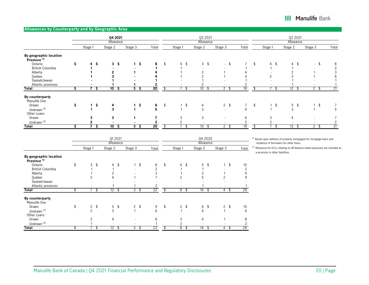### **Allowances by Counterparty and by Geographic Area**

|                                                   |    |                     | Q4 2021<br>Allowance  |                    |                 |                          | Q3 2021<br>Allowance |                          |       |                      | Q2 2021<br>Allowance |                          |       |
|---------------------------------------------------|----|---------------------|-----------------------|--------------------|-----------------|--------------------------|----------------------|--------------------------|-------|----------------------|----------------------|--------------------------|-------|
|                                                   |    | Stage 1             | Stage 2               | Stage 3            | Total           | Stage 1                  | Stage 2              | Stage 3                  | Total | Stage 1              | Stage 2              | Stage 3                  | Total |
| By geographic location<br>Province <sup>(1)</sup> |    |                     |                       |                    |                 |                          |                      |                          |       |                      |                      |                          |       |
| Ontario                                           | \$ | 4<br>-\$            | 3 <sup>5</sup>        | 1 <sup>5</sup>     | 8               | \$<br>$4 \text{ } 5$     | $3 \quad$            | $-$ \$                   |       | \$<br>$4 \text{ } 5$ | $4 \text{ } $$       |                          | 8     |
| British Columbia                                  |    |                     |                       |                    |                 |                          |                      |                          |       |                      |                      |                          |       |
| Alberta                                           |    |                     |                       |                    |                 |                          |                      |                          |       |                      |                      |                          |       |
| Quebec                                            |    |                     |                       |                    |                 |                          |                      |                          |       | $\Omega$             |                      |                          |       |
| Saskatchewan                                      |    |                     |                       |                    |                 |                          |                      |                          |       |                      |                      |                          |       |
| Atlantic provinces                                |    |                     |                       |                    |                 | $\overline{\phantom{a}}$ |                      | $\overline{\phantom{a}}$ |       |                      |                      |                          |       |
| <b>Total</b>                                      | s  | ⇁<br>`S             | 10<br>-S              | 3<br>-S            | $\overline{20}$ | \$                       | 10                   | $2 \sqrt{3}$             | 19    |                      | $1\overline{2}$<br>Ŀ | $2 \quad$                | 21    |
| By counterparty<br>Manulife One                   |    |                     |                       |                    |                 |                          |                      |                          |       |                      |                      |                          |       |
| Drawn                                             | \$ | \$.<br>$\mathbf{1}$ | 4                     | $1\ddot{\text{S}}$ | 6               | \$<br>$\sqrt{2}$         | 4                    | $2 \quad$                | 7     | \$<br>$\sqrt{3}$     | $5 \quad$            | \$                       |       |
| Undrawn <sup>(2)</sup>                            |    |                     | 3                     |                    | 5               |                          | 3                    | $\sim$                   |       |                      | 3                    |                          | 5     |
| Other Loans                                       |    |                     |                       |                    |                 |                          |                      |                          |       |                      |                      |                          |       |
| Drawn                                             |    | 3                   | 3                     |                    |                 |                          | 3                    | $\overline{\phantom{a}}$ | 6     | 3                    |                      |                          |       |
| Undrawn <sup>(2)</sup>                            |    |                     | $\blacksquare$        | ٠                  |                 |                          | $\overline{a}$       | $\overline{\phantom{a}}$ |       |                      |                      | $\overline{\phantom{a}}$ |       |
| <b>Total</b>                                      |    | C                   | $\overline{10}$<br>-S | $3\ddot{\rm s}$    | $\overline{20}$ |                          | 10                   | $2 \quad$                | 19    |                      | $\overline{12}$      | 2<br>-\$                 | 21    |

|                                                   |                          | Q1 2021                  |                          |                 |                 | Q4 2020                  |                          |       | (1) Based upon address of property mortgaged for mortgage loans and            |
|---------------------------------------------------|--------------------------|--------------------------|--------------------------|-----------------|-----------------|--------------------------|--------------------------|-------|--------------------------------------------------------------------------------|
|                                                   |                          | Allowance                |                          |                 |                 | Allowance                |                          |       | residence of borrowers for other loans.                                        |
|                                                   | Stage 1                  | Stage 2                  | Stage 3                  | Total           | Stage 1         | Stage 2                  | Stage 3                  | Total | (2) Allowance for ECLs relating to off-balance sheet exposures are included as |
| By geographic location<br>Province <sup>(1)</sup> |                          |                          |                          |                 |                 |                          |                          |       | a provision in other liabilities.                                              |
| Ontario                                           | \$<br>3<br>\$            | $4 \text{ } 5$           | - \$                     | 8               | \$<br>$4 \quad$ | $5 \text{ }$ \$          | - \$                     | 10    |                                                                                |
| British Columbia                                  |                          |                          | $\overline{\phantom{0}}$ |                 |                 |                          |                          |       |                                                                                |
| Alberta                                           |                          |                          |                          |                 |                 |                          |                          |       |                                                                                |
| Quebec                                            |                          |                          |                          |                 |                 |                          |                          |       |                                                                                |
| Saskatchewan                                      |                          |                          |                          |                 |                 |                          |                          |       |                                                                                |
| Atlantic provinces                                | $\overline{\phantom{a}}$ |                          |                          |                 | $\sim$          |                          |                          |       |                                                                                |
| <b>Total</b>                                      | ъ                        | $12 \quad$               | 3 <sup>5</sup>           | 22              | $8^{\circ}$ \$  | 14<br>. ა                | 4\$                      | 26    |                                                                                |
| By counterparty<br>Manulife One                   |                          |                          |                          |                 |                 |                          |                          |       |                                                                                |
| Drawn                                             | $2 \quad$                | $5 \quad$                | $2 \quad$                | 9               | \$<br>$2 \quad$ | $6 \frac{1}{2}$          | 2 <sup>5</sup>           | 10    |                                                                                |
| Undrawn <sup>(2)</sup>                            | $\sim$                   | 3                        |                          | 6               |                 | 4                        |                          | 6     |                                                                                |
| Other Loans                                       |                          |                          |                          |                 |                 |                          |                          |       |                                                                                |
| Drawn                                             |                          | 4                        | $\overline{\phantom{a}}$ | 6               | 3               | 4                        |                          | 8     |                                                                                |
| Undrawn <sup>(2)</sup>                            |                          | $\overline{\phantom{a}}$ | $\overline{\phantom{a}}$ |                 |                 | $\overline{\phantom{a}}$ | $\overline{\phantom{a}}$ |       |                                                                                |
| <b>Total</b>                                      |                          | 12<br>- 35               | 3 <sup>5</sup>           | $\overline{22}$ | 8<br>- 56       | 14<br>- \$               | 4<br>- 35                | 26    |                                                                                |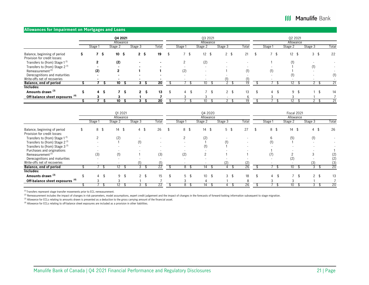#### **Allowances for Impairment on Mortgages and Loans**

|                                                              |         |    | 04 2021         |     |                |                |       |                          | 03 2021                  |                |              |       |                | 02 2021       |         |                          |                          |
|--------------------------------------------------------------|---------|----|-----------------|-----|----------------|----------------|-------|--------------------------|--------------------------|----------------|--------------|-------|----------------|---------------|---------|--------------------------|--------------------------|
|                                                              |         |    | Allowance       |     |                |                |       |                          | Allowance                |                |              |       |                | Allowance     |         |                          |                          |
|                                                              | Stage 1 |    | Stage 2         |     | Stage 3        |                | Total | Stage 1                  | Stage 2                  | Stage 3        |              | Total | Stage 1        | Stage 2       | Stage 3 |                          | Total                    |
| Balance, beginning of period<br>Provision for credit losses: |         | -Ŝ | 10 <sup>5</sup> |     | 2 <sup>5</sup> |                | 19    |                          | $12 \quad $$             | 2 <sup>5</sup> |              | 21    | \$             | $12 \quad$ \$ |         | 3 <sup>5</sup>           | 22                       |
| Transfers to (from) Stage 1 <sup>(1)</sup>                   |         |    | (2)             |     |                |                |       |                          | (2)                      |                |              |       |                | (1)           |         |                          |                          |
| Transfers to (from) Stage 2 <sup>(1)</sup>                   |         |    |                 |     |                |                |       |                          | $\overline{\phantom{a}}$ |                |              |       |                |               |         | (1)                      | $\overline{\phantom{a}}$ |
| Remeasurement <sup>(2)</sup>                                 | (2)     |    | 2               |     |                |                |       | (2)                      | $\overline{\phantom{a}}$ |                |              | (1)   | (1)            |               |         |                          | $\overline{\phantom{0}}$ |
| Derecognitions and maturities                                |         |    |                 |     |                |                |       |                          | $\overline{\phantom{a}}$ |                |              |       |                |               |         |                          | (1)                      |
| Write-offs net of recoveries                                 |         |    |                 |     |                |                |       | $\overline{\phantom{a}}$ | $\overline{\phantom{a}}$ |                |              |       |                |               |         | $\overline{\phantom{0}}$ |                          |
| Balance, end of period                                       |         |    | 10              |     | 3              |                | 20    |                          |                          |                |              |       |                | 12            |         |                          | 21                       |
| Includes:                                                    |         |    |                 |     |                |                |       |                          |                          |                |              |       |                |               |         |                          |                          |
| Amounts drawn <sup>(3)</sup>                                 | 4       | -3 |                 | 7 S |                | 2 <sup>5</sup> | 13    | 4                        |                          |                | $2 \text{ }$ | 13    | $\overline{4}$ | 9\$           |         |                          | 14                       |
| Off-balance sheet exposures <sup>(4)</sup>                   |         |    |                 |     |                |                |       |                          |                          |                |              |       |                |               |         |                          |                          |
|                                                              |         |    | 10              |     |                |                | 20    |                          |                          |                |              |       |                |               |         |                          |                          |

|                                            |          | Q1 2021<br>Allowance     |                |       |                          | 04 2020<br>Allowance |                |       |         | Fiscal 2021<br>Allowance |                 |       |
|--------------------------------------------|----------|--------------------------|----------------|-------|--------------------------|----------------------|----------------|-------|---------|--------------------------|-----------------|-------|
|                                            | Stage 1  | Stage 2                  | Stage 3        | Total | Stage 1                  | Stage 2              | Stage 3        | Total | Stage 1 | Stage 2                  | Stage 3         | Total |
| Balance, beginning of period               | 8<br>-\$ | $14 \quad$ \$            | $4 \quad$      | 26    | 8 \$                     | $14 \quad $$         | 5 <sup>5</sup> | 27    | 8 \$    | 14<br>\$                 | $4 \text{ }$ \$ | 26    |
| Provision for credit losses:               |          |                          |                |       |                          |                      |                |       |         |                          |                 |       |
| Transfers to (from) Stage 1 <sup>(1)</sup> |          | (2)                      |                |       |                          | (2)                  |                |       |         | (5)                      |                 |       |
| Transfers to (from) Stage 2 <sup>(1)</sup> |          |                          | (1)            |       | $\overline{\phantom{a}}$ |                      | (1)            |       |         |                          |                 |       |
| Transfers to (from) Stage 3 <sup>(1)</sup> |          |                          |                |       |                          |                      |                |       |         |                          |                 |       |
| Purchases and originations                 |          |                          |                |       |                          |                      |                |       |         |                          |                 |       |
| Remeasurement <sup>(2)</sup>               | (3)      | (1)                      |                | (3)   | (2)                      |                      |                |       |         |                          |                 | (2)   |
| Derecognitions and maturities              |          |                          |                |       |                          |                      |                |       |         | (2)                      |                 | (2)   |
| Write-offs net of recoveries               |          | $\overline{\phantom{a}}$ | (1)            | (1)   | ۰                        |                      | (2)            | (2)   |         |                          | (3)             | (3)   |
| Balance, end of period                     |          |                          |                | 22    |                          |                      |                |       |         |                          |                 | 20    |
| Includes:                                  |          |                          |                |       |                          |                      |                |       |         |                          |                 |       |
| Amounts drawn <sup>(3)</sup>               | 4        | 9<br>-\$                 | 2 <sup>5</sup> | 15    | $5 \text{ }$ \$          | 10 <sup>°</sup>      | $\mathcal{E}$  | 18    | 4       |                          | $\mathcal{P}$   | 13    |
| Off-balance sheet exposures <sup>(4)</sup> |          |                          |                |       |                          |                      |                |       |         |                          |                 |       |
|                                            |          |                          |                | 22    |                          |                      |                |       |         |                          |                 | 20    |

 $(1)$  Transfers represent stage transfer movements prior to ECL remeasurement.

(2) Remeasurement includes the impact of changes in risk parameters, model assumptions, expert credit judgement and the impact of changes in the forecasts of forward-looking information subsequent to stage migration.

 $(3)$  Allowance for ECLs relating to amounts drawn is presented as a deduction to the gross carrying amount of the financial asset.

(4) Allowance for ECLs relating to off-balance sheet exposures are included as a provision in other liabilities.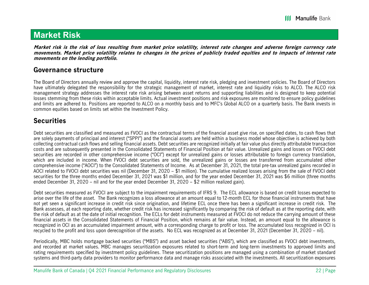## **Market Risk**

**Market risk is the risk of loss resulting from market price volatility, interest rate changes and adverse foreign currency rate movements. Market price volatility relates to changes in the prices of publicly traded equities and to impacts of interest rate movements on the lending portfolio.** 

### **Governance structure**

The Board of Directors annually review and approve the capital, liquidity, interest rate risk, pledging and investment policies. The Board of Directors have ultimately delegated the responsibility for the strategic management of market, interest rate and liquidity risks to ALCO. The ALCO risk management strategy addresses the interest rate risk arising between asset returns and supporting liabilities and is designed to keep potential losses stemming from these risks within acceptable limits. Actual investment positions and risk exposures are monitored to ensure policy guidelines and limits are adhered to. Positions are reported to ALCO on a monthly basis and to MFC's Global ALCO on a quarterly basis. The Bank invests in common equities based on limits set within the Investment Policy.

### **Securities**

Debt securities are classified and measured as FVOCI as the contractual terms of the financial asset give rise, on specified dates, to cash flows that are solely payments of principal and interest ("SPPI") and the financial assets are held within a business model whose objective is achieved by both collecting contractual cash flows and selling financial assets. Debt securities are recognized initially at fair value plus directly attributable transaction costs and are subsequently presented in the Consolidated Statements of Financial Position at fair value. Unrealized gains and losses on FVOCI debt securities are recorded in other comprehensive income ("OCI") except for unrealized gains or losses attributable to foreign currency translation, which are included in income. When FVOCI debt securities are sold, the unrealized gains or losses are transferred from accumulated other comprehensive income ("AOCI") to the Consolidated Statements of Income. As at December 31, 2021, the total pre-tax unrealized gains recorded in AOCI related to FVOCI debt securities was nil (December 31, 2020 – \$1 million). The cumulative realized losses arising from the sale of FVOCI debt securities for the three months ended December 31, 2021 was \$1 million, and for the year ended December 31, 2021 was \$6 million (three months ended December 31, 2020 – nil and for the year ended December 31, 2020 – \$2 million realized gain).

Debt securities measured as FVOCI are subject to the impairment requirements of IFRS 9. The ECL allowance is based on credit losses expected to arise over the life of the asset. The Bank recognizes a loss allowance at an amount equal to 12-month ECL for those financial instruments that have not yet seen a significant increase in credit risk since origination, and lifetime ECL once there has been a significant increase in credit risk. The Bank assesses, at each reporting date, whether credit risk has increased significantly by comparing the risk of default as at the reporting date, with the risk of default as at the date of initial recognition. The ECLs for debt instruments measured at FVOCI do not reduce the carrying amount of these financial assets in the Consolidated Statements of Financial Position, which remains at fair value. Instead, an amount equal to the allowance is recognized in OCI as an accumulated impairment amount, with a corresponding charge to profit or loss. The accumulated loss recognized in OCI is recycled to the profit and loss upon derecognition of the assets. No ECL was recognized as at December 31, 2021 (December 31, 2020 – nil).

Periodically, MBC holds mortgage backed securities ("MBS") and asset backed securities ("ABS"), which are classified as FVOCI debt investments, and recorded at market values. MBC manages securitization exposures related to short-term and long-term investments to approved limits and rating requirements specified by investment policy guidelines. These securitization positions are managed using a combination of market standard systems and third-party data providers to monitor performance data and manage risks associated with the investments. All securitization exposures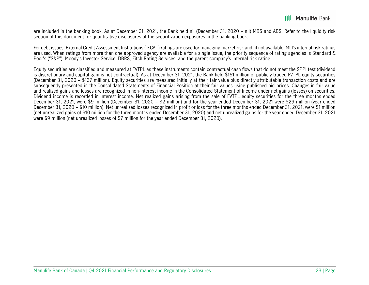are included in the banking book. As at December 31, 2021, the Bank held nil (December 31, 2020 – nil) MBS and ABS. Refer to the liquidity risk section of this document for quantitative disclosures of the securitization exposures in the banking book.

For debt issues, External Credit Assessment Institutions ("ECAI") ratings are used for managing market risk and, if not available, MLI's internal risk ratings are used. When ratings from more than one approved agency are available for a single issue, the priority sequence of rating agencies is Standard & Poor's ("S&P"), Moody's Investor Service, DBRS, Fitch Rating Services, and the parent company's internal risk rating.

Equity securities are classified and measured at FVTPL as these instruments contain contractual cash flows that do not meet the SPPI test (dividend is discretionary and capital gain is not contractual). As at December 31, 2021, the Bank held \$151 million of publicly traded FVTPL equity securities (December 31, 2020 – \$137 million). Equity securities are measured initially at their fair value plus directly attributable transaction costs and are subsequently presented in the Consolidated Statements of Financial Position at their fair values using published bid prices. Changes in fair value and realized gains and losses are recognized in non-interest income in the Consolidated Statement of Income under net gains (losses) on securities. Dividend income is recorded in interest income. Net realized gains arising from the sale of FVTPL equity securities for the three months ended December 31, 2021, were \$9 million (December 31, 2020 – \$2 million) and for the year ended December 31, 2021 were \$29 million (year ended December 31, 2020 – \$10 million). Net unrealized losses recognized in profit or loss for the three months ended December 31, 2021, were \$1 million (net unrealized gains of \$10 million for the three months ended December 31, 2020) and net unrealized gains for the year ended December 31, 2021 were \$9 million (net unrealized losses of \$7 million for the year ended December 31, 2020).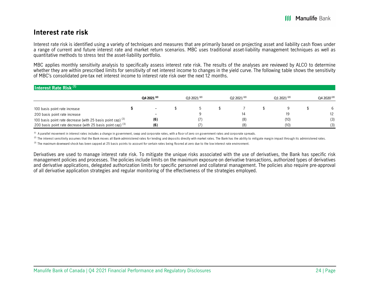### **Interest rate risk**

Interest rate risk is identified using a variety of techniques and measures that are primarily based on projecting asset and liability cash flows under a range of current and future interest rate and market return scenarios. MBC uses traditional asset-liability management techniques as well as quantitative methods to stress test the asset-liability portfolio.

MBC applies monthly sensitivity analysis to specifically assess interest rate risk. The results of the analyses are reviewed by ALCO to determine whether they are within prescribed limits for sensitivity of net interest income to changes in the yield curve. The following table shows the sensitivity of MBC's consolidated pre-tax net interest income to interest rate risk over the next 12 months.

| Interest Rate Risk <sup>(1)</sup>                             |                        |                |                |                |                |
|---------------------------------------------------------------|------------------------|----------------|----------------|----------------|----------------|
|                                                               | Q4 2021 <sup>(2)</sup> | $032021^{(2)}$ | $Q22021^{(2)}$ | $Q12021^{(2)}$ | $Q42020^{(2)}$ |
| 100 basis point rate increase                                 |                        |                |                |                |                |
| 200 basis point rate increase                                 |                        |                |                |                | 12             |
| 100 basis point rate decrease (with 25 basis point cap) $(3)$ | (6)                    |                | (8)            | (10)           | (3)            |
| 200 basis point rate decrease (with 25 basis point cap) $(3)$ | (6)                    |                | (8)            | (10)           | (3)            |

 $^{(1)}$  A parallel movement in interest rates includes a change in government, swap and corporate rates, with a floor of zero on government rates and corporate spreads.

 $^{(2)}$  The interest sensitivity assumes that the Bank moves all Bank-administered rates for lending and deposits directly with market rates. The Bank has the ability to mitigate margin impact through its administered rate

(3) The maximum downward shock has been capped at 25 basis points to account for certain rates being floored at zero due to the low interest rate environment.

Derivatives are used to manage interest rate risk. To mitigate the unique risks associated with the use of derivatives, the Bank has specific risk management policies and processes. The policies include limits on the maximum exposure on derivative transactions, authorized types of derivatives and derivative applications, delegated authorization limits for specific personnel and collateral management. The policies also require pre-approval of all derivative application strategies and regular monitoring of the effectiveness of the strategies employed.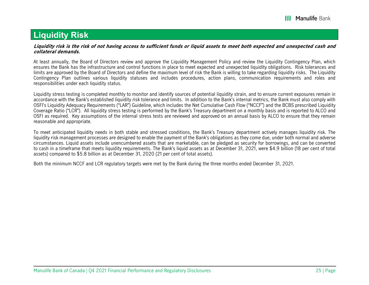## **Liquidity Risk**

#### **Liquidity risk is the risk of not having access to sufficient funds or liquid assets to meet both expected and unexpected cash and collateral demands.**

At least annually, the Board of Directors review and approve the Liquidity Management Policy and review the Liquidity Contingency Plan, which ensures the Bank has the infrastructure and control functions in place to meet expected and unexpected liquidity obligations. Risk tolerances and limits are approved by the Board of Directors and define the maximum level of risk the Bank is willing to take regarding liquidity risks. The Liquidity Contingency Plan outlines various liquidity statuses and includes procedures, action plans, communication requirements and roles and responsibilities under each liquidity status.

Liquidity stress testing is completed monthly to monitor and identify sources of potential liquidity strain, and to ensure current exposures remain in accordance with the Bank's established liquidity risk tolerance and limits. In addition to the Bank's internal metrics, the Bank must also comply with OSFI's Liquidity Adequacy Requirements ("LAR") Guideline, which includes the Net Cumulative Cash Flow ("NCCF") and the BCBS prescribed Liquidity Coverage Ratio ("LCR"). All liquidity stress testing is performed by the Bank's Treasury department on a monthly basis and is reported to ALCO and OSFI as required. Key assumptions of the internal stress tests are reviewed and approved on an annual basis by ALCO to ensure that they remain reasonable and appropriate.

To meet anticipated liquidity needs in both stable and stressed conditions, the Bank's Treasury department actively manages liquidity risk. The liquidity risk management processes are designed to enable the payment of the Bank's obligations as they come due, under both normal and adverse circumstances. Liquid assets include unencumbered assets that are marketable, can be pledged as security for borrowings, and can be converted to cash in a timeframe that meets liquidity requirements. The Bank's liquid assets as at December 31, 2021, were \$4.9 billion (18 per cent of total assets) compared to \$5.8 billion as at December 31, 2020 (21 per cent of total assets).

Both the minimum NCCF and LCR regulatory targets were met by the Bank during the three months ended December 31, 2021.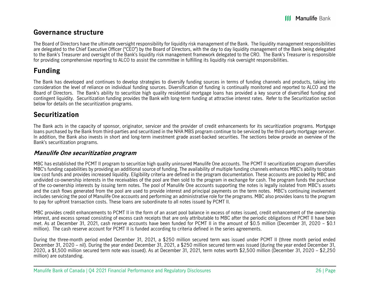## **Governance structure**

The Board of Directors have the ultimate oversight responsibility for liquidity risk management of the Bank. The liquidity management responsibilities are delegated to the Chief Executive Officer ("CEO") by the Board of Directors, with the day to day liquidity management of the Bank being delegated to the Bank's Treasurer and oversight of the Bank's liquidity risk management framework delegated to the CRO. The Bank's Treasurer is responsible for providing comprehensive reporting to ALCO to assist the committee in fulfilling its liquidity risk oversight responsibilities.

## **Funding**

The Bank has developed and continues to develop strategies to diversify funding sources in terms of funding channels and products, taking into consideration the level of reliance on individual funding sources. Diversification of funding is continually monitored and reported to ALCO and the Board of Directors. The Bank's ability to securitize high quality residential mortgage loans has provided a key source of diversified funding and contingent liquidity. Securitization funding provides the Bank with long-term funding at attractive interest rates. Refer to the Securitization section below for details on the securitization programs.

## **Securitization**

The Bank acts in the capacity of sponsor, originator, servicer and the provider of credit enhancements for its securitization programs. Mortgage loans purchased by the Bank from third-parties and securitized in the NHA MBS program continue to be serviced by the third-party mortgage servicer. In addition, the Bank also invests in short and long-term investment grade asset-backed securities. The sections below provide an overview of the Bank's securitization programs.

### **Manulife One securitization program**

MBC has established the PCMT II program to securitize high quality uninsured Manulife One accounts. The PCMT II securitization program diversifies MBC's funding capabilities by providing an additional source of funding. The availability of multiple funding channels enhances MBC's ability to obtain low cost funds and provides increased liquidity. Eligibility criteria are defined in the program documentation. These accounts are pooled by MBC and undivided co-ownership interests in the receivables of the pool are then sold to the program in exchange for cash. The program funds the purchase of the co-ownership interests by issuing term notes. The pool of Manulife One accounts supporting the notes is legally isolated from MBC's assets and the cash flows generated from the pool are used to provide interest and principal payments on the term notes. MBC's continuing involvement includes servicing the pool of Manulife One accounts and performing an administrative role for the programs. MBC also provides loans to the program to pay for upfront transaction costs. These loans are subordinate to all notes issued by PCMT II.

MBC provides credit enhancements to PCMT II in the form of an asset pool balance in excess of notes issued, credit enhancement of the ownership interest, and excess spread consisting of excess cash receipts that are only attributable to MBC after the periodic obligations of PCMT II have been met. As at December 31, 2021, cash reserve accounts have been funded for PCMT II in the amount of \$0.5 million (December 31, 2020 – \$0.1 million). The cash reserve account for PCMT II is funded according to criteria defined in the series agreements.

During the three-month period ended December 31, 2021, a \$250 million secured term was issued under PCMT II (three month period ended December 31, 2020 – nil). During the year ended December 31, 2021, a \$250 million secured term was issued (during the year ended December 31, 2020, a \$1,500 million secured term note was issued). As at December 31, 2021, term notes worth \$2,500 million (December 31, 2020 – \$2,250 million) are outstanding.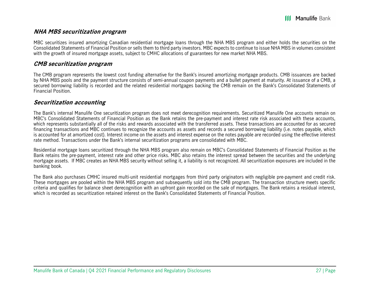### **NHA MBS securitization program**

MBC securitizes insured amortizing Canadian residential mortgage loans through the NHA MBS program and either holds the securities on the Consolidated Statements of Financial Position or sells them to third party investors. MBC expects to continue to issue NHA MBS in volumes consistent with the growth of insured mortgage assets, subject to CMHC allocations of guarantees for new market NHA MBS.

### **CMB securitization program**

The CMB program represents the lowest cost funding alternative for the Bank's insured amortizing mortgage products. CMB issuances are backed by NHA MBS pools and the payment structure consists of semi-annual coupon payments and a bullet payment at maturity. At issuance of a CMB, a secured borrowing liability is recorded and the related residential mortgages backing the CMB remain on the Bank's Consolidated Statements of Financial Position.

### **Securitization accounting**

The Bank's internal Manulife One securitization program does not meet derecognition requirements. Securitized Manulife One accounts remain on MBC's Consolidated Statements of Financial Position as the Bank retains the pre-payment and interest rate risk associated with these accounts, which represents substantially all of the risks and rewards associated with the transferred assets. These transactions are accounted for as secured financing transactions and MBC continues to recognize the accounts as assets and records a secured borrowing liability (i.e. notes payable, which is accounted for at amortized cost). Interest income on the assets and interest expense on the notes payable are recorded using the effective interest rate method. Transactions under the Bank's internal securitization programs are consolidated with MBC.

Residential mortgage loans securitized through the NHA MBS program also remain on MBC's Consolidated Statements of Financial Position as the Bank retains the pre-payment, interest rate and other price risks. MBC also retains the interest spread between the securities and the underlying mortgage assets. If MBC creates an NHA MBS security without selling it, a liability is not recognized. All securitization exposures are included in the banking book.

The Bank also purchases CMHC insured multi-unit residential mortgages from third party originators with negligible pre-payment and credit risk. These mortgages are pooled within the NHA MBS program and subsequently sold into the CMB program. The transaction structure meets specific criteria and qualifies for balance sheet derecognition with an upfront gain recorded on the sale of mortgages. The Bank retains a residual interest, which is recorded as securitization retained interest on the Bank's Consolidated Statements of Financial Position.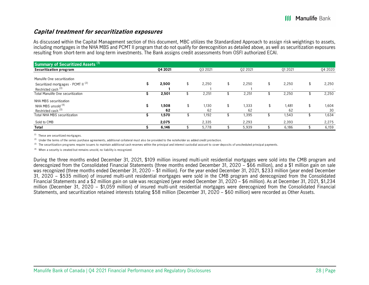### **Capital treatment for securitization exposures**

As discussed within the Capital Management section of this document, MBC utilizes the Standardized Approach to assign risk weightings to assets, including mortgages in the NHA MBS and PCMT II program that do not qualify for derecognition as detailed above, as well as securitization exposures resulting from short-term and long-term investments. The Bank assigns credit assessments from OSFI authorized ECAI.

| Summary of Securitized Assets <sup>(1)</sup>   |          |            |             |             |             |
|------------------------------------------------|----------|------------|-------------|-------------|-------------|
| Securitization program                         | 04 20 21 | 03 2021    | 02 2021     | 01 2021     | Q4 2020     |
| Manulife One securitization                    |          |            |             |             |             |
| Securitized mortgages - PCMT II <sup>(2)</sup> | 2,500    | 2,250      | \$<br>2,250 | \$<br>2,250 | \$<br>2,250 |
| Restricted cash (3)                            |          |            |             |             |             |
| Total Manulife One securitization              | 2,501    | 2,251      | 2,251       | 2,250       | 2,250       |
| NHA MBS securitization                         |          |            |             |             |             |
| NHA MBS unsold (4)                             | 1,508    | \$<br>130، | 1.333       | \$<br>1,481 | \$<br>1,604 |
| Restricted cash <sup>(3)</sup>                 | 62       | 62         | 62          | 62          | 30          |
| <b>Total NHA MBS securitization</b>            | 1,570    | 1,192      | 1,395       | 1,543       | 1,634       |
| Sold to CMB                                    | 2,075    | 2,335      | 2,293       | 2,393       | 2,275       |
| Total                                          | 6,146    | 5,778      | 5,939       | 6,186       | 6,159       |

 $(1)$  These are securitized mortgages.

(2) Under the terms of the series purchase agreements, additional collateral must also be provided to the noteholder as added credit protection.

(3) The securitization programs require issuers to maintain additional cash reserves within the principal and interest custodial account to cover deposits of unscheduled principal payments.

 $(4)$  When a security is created but remains unsold, no liability is recognized.

During the three months ended December 31, 2021, \$109 million insured multi-unit residential mortgages were sold into the CMB program and derecognized from the Consolidated Financial Statements (three months ended December 31, 2020 – \$66 million), and a \$1 million gain on sale was recognized (three months ended December 31, 2020 – \$1 million). For the year ended December 31, 2021, \$233 million (year ended December 31, 2020 – \$535 million) of insured multi-unit residential mortgages were sold in the CMB program and derecognized from the Consolidated Financial Statements and a \$2 million gain on sale was recognized (year ended December 31, 2020 – \$6 million). As at December 31, 2021, \$1,234 million (December 31, 2020 – \$1,059 million) of insured multi-unit residential mortgages were derecognized from the Consolidated Financial Statements, and securitization retained interests totaling \$58 million (December 31, 2020 – \$60 million) were recorded as Other Assets.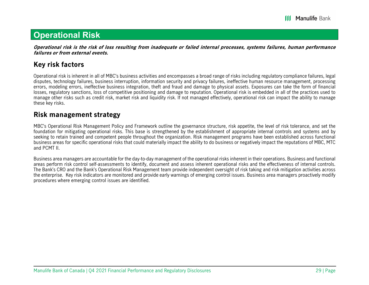## **Operational Risk**

**Operational risk is the risk of loss resulting from inadequate or failed internal processes, systems failures, human performance failures or from external events.** 

## **Key risk factors**

Operational risk is inherent in all of MBC's business activities and encompasses a broad range of risks including regulatory compliance failures, legal disputes, technology failures, business interruption, information security and privacy failures, ineffective human resource management, processing errors, modeling errors, ineffective business integration, theft and fraud and damage to physical assets. Exposures can take the form of financial losses, regulatory sanctions, loss of competitive positioning and damage to reputation. Operational risk is embedded in all of the practices used to manage other risks such as credit risk, market risk and liquidity risk. If not managed effectively, operational risk can impact the ability to manage these key risks.

### **Risk management strategy**

MBC's Operational Risk Management Policy and Framework outline the governance structure, risk appetite, the level of risk tolerance, and set the foundation for mitigating operational risks. This base is strengthened by the establishment of appropriate internal controls and systems and by seeking to retain trained and competent people throughout the organization. Risk management programs have been established across functional business areas for specific operational risks that could materially impact the ability to do business or negatively impact the reputations of MBC, MTC and PCMT II.

Business area managers are accountable for the day-to-day management of the operational risks inherent in their operations. Business and functional areas perform risk control self-assessments to identify, document and assess inherent operational risks and the effectiveness of internal controls. The Bank's CRO and the Bank's Operational Risk Management team provide independent oversight of risk taking and risk mitigation activities across the enterprise. Key risk indicators are monitored and provide early warnings of emerging control issues. Business area managers proactively modify procedures where emerging control issues are identified.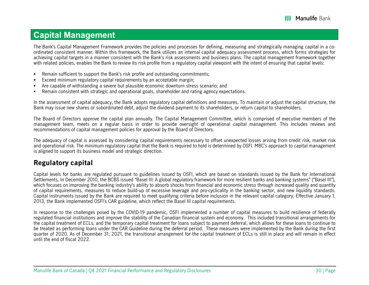## **Capital Management**

The Bank's Capital Management Framework provides the policies and processes for defining, measuring and strategically managing capital in a coordinated consistent manner. Within this framework, the Bank utilizes an internal capital adequacy assessment process, which forms strategies for achieving capital targets in a manner consistent with the Bank's risk assessments and business plans. The capital management framework together with related policies, enables the Bank to review its risk profile from a regulatory capital viewpoint with the intent of ensuring that capital levels:

- г Remain sufficient to support the Bank's risk profile and outstanding commitments;
- г Exceed minimum regulatory capital requirements by an acceptable margin;
- г Are capable of withstanding a severe but plausible economic downturn stress scenario; and
- Г Remain consistent with strategic and operational goals, shareholder and rating agency expectations.

In the assessment of capital adequacy, the Bank adopts regulatory capital definitions and measures. To maintain or adjust the capital structure, the Bank may issue new shares or subordinated debt, adjust the dividend payment to its shareholders, or return capital to shareholders.

The Board of Directors approve the capital plan annually. The Capital Management Committee, which is comprised of executive members of the management team, meets on a regular basis in order to provide oversight of operational capital management. This includes reviews and recommendations of capital management policies for approval by the Board of Directors.

The adequacy of capital is assessed by considering capital requirements necessary to offset unexpected losses arising from credit risk, market risk and operational risk. The minimum regulatory capital that the Bank is required to hold is determined by OSFI. MBC's approach to capital management is aligned to support its business model and strategic direction.

## **Regulatory capital**

Capital levels for banks are regulated pursuant to guidelines issued by OSFI, which are based on standards issued by the Bank for International Settlements. In December 2010, the BCBS issued "Basel III: A global regulatory framework for more resilient banks and banking systems" ("Basel III"), which focuses on improving the banking industry's ability to absorb shocks from financial and economic stress through increased quality and quantity of capital requirements, measures to reduce build-up of excessive leverage and pro-cyclicality in the banking sector, and new liquidity standards. Capital instruments issued by the Bank are required to meet qualifying criteria before inclusion in the relevant capital category. Effective January 1, 2013, the Bank implemented OSFI's CAR guideline, which reflect the Basel III capital requirements.

In response to the challenges posed by the COVID-19 pandemic, OSFI implemented a number of capital measures to build resilience of federally regulated financial institutions and improve the stability of the Canadian financial system and economy. This included transitional arrangements for the capital treatment of ECLs, and the temporary capital treatment for loans subject to payment deferral, which allows for these loans to continue to be treated as performing loans under the CAR Guideline during the deferral period. These measures were implemented by the Bank during the first quarter of 2020. As of December 31, 2021, the transitional arrangement for the capital treatment of ECLs is still in place and will remain in effect until the end of fiscal 2022.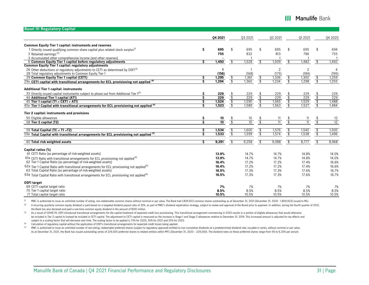### **III Manulife Bank**

| <b>Basel III Regulatory Capital</b>                                                                                                                                       |     |                 |                           |         |                                   |                 |                          |                |                          |                |
|---------------------------------------------------------------------------------------------------------------------------------------------------------------------------|-----|-----------------|---------------------------|---------|-----------------------------------|-----------------|--------------------------|----------------|--------------------------|----------------|
|                                                                                                                                                                           |     | 04 2021         |                           | 03 2021 |                                   | 02 2021         |                          | 01 20 21       |                          | 04 2020        |
| <b>Common Equity Tier 1 capital: instruments and reserves</b>                                                                                                             |     |                 |                           |         |                                   |                 |                          |                |                          |                |
| 1 Directly issued qualifying common share capital plus related stock surplus <sup>(1)</sup>                                                                               | \$  | 695             | \$                        | 695     | \$                                | 695             |                          | 695            | \$                       | 694            |
| 2 Retained earnings $(2)$                                                                                                                                                 |     | 755             |                           | 832     |                                   | 813             |                          | 786            |                          | 755            |
| 3 Accumulated other comprehensive income (and other reserves)                                                                                                             |     |                 |                           |         |                                   |                 |                          |                |                          | -1             |
| 6 Common Equity Tier 1 capital before regulatory adjustments                                                                                                              | \$. | 1,450           | \$                        | ,528    | \$                                | ,509            | \$                       | .482           | \$                       | 1,450          |
| Common Equity Tier 1 capital: regulatory adjustments                                                                                                                      |     |                 |                           |         |                                   |                 |                          |                |                          |                |
| 26 Other deductions or regulatory adjustments to CET1 as determined by OSFI(3)                                                                                            |     | -1              |                           |         |                                   | $\overline{2}$  |                          | $\overline{2}$ |                          | 4              |
| 28 Total regulatory adjustments to Common Equity Tier 1                                                                                                                   |     | (156)           |                           | (168)   |                                   | (175)           |                          | (184)          |                          | (195)          |
| 29 Common Equity Tier 1 capital (CET1)                                                                                                                                    | \$  | 1,295           | \$                        | 1,361   | \$                                | 1,336           | \$                       | 1,300          | \$                       | 1,259          |
| 29a CET1 capital with transitional arrangements for ECL provisioning not applied (4)                                                                                      | Š   | 1,294           | -\$                       | 1,360   | $\overline{\mathcal{L}}$          | 1,334           | -\$                      | 1,298          | ु                        | 1,255          |
| <b>Additional Tier 1 capital: instruments</b>                                                                                                                             |     |                 |                           |         |                                   |                 |                          |                |                          |                |
| 33 Directly issued capital instruments subject to phase out from Additional Tier 1 <sup>(5)</sup>                                                                         | Ŝ   | 229             |                           | 229     |                                   | 229             |                          | 229            |                          | 229            |
| 44 Additional Tier 1 capital (AT1)                                                                                                                                        | Ś   | 229             | $\frac{1}{3}$             | 229     | $\frac{1}{3}$                     | 229             | $\frac{5}{3}$            | 229            | $\mathcal{L}$            | 229            |
| 45 Tier 1 capital (T1 = CET1 + AT1)                                                                                                                                       | \$  | 1,524           | $\boldsymbol{\hat{\phi}}$ | 1,590   | $\overline{\mathcal{C}}$          | 1,565           |                          | 1,529          | $\sqrt[4]{\frac{4}{5}}$  | 1,488          |
| $45a$ Tier 1 Capital with transitional arrangements for ECL provisioning not applied $(4)$                                                                                | Ś   | 1,523           | \$                        | 1,589   | $\overline{\mathbf{3}}$           | 1,563           | $\frac{6}{3}$            | 1,527          | $\overline{\mathcal{E}}$ | 1,484          |
| Tier 2 capital: instruments and provisions                                                                                                                                |     |                 |                           |         |                                   |                 |                          |                |                          |                |
| 50 Eligible allowances                                                                                                                                                    | \$  | 10              |                           | 10      | \$                                | 11              |                          | 11             | \$                       | 12             |
| 58 Tier 2 capital (T2)                                                                                                                                                    | Ŝ   | $\overline{10}$ | $\frac{1}{3}$             | 10      | $\overline{\mathcal{E}}$          | $\overline{11}$ | $\overline{\mathcal{S}}$ | 11             | -\$                      | 12             |
|                                                                                                                                                                           |     |                 |                           |         |                                   |                 |                          |                |                          |                |
| 59 Total Capital (TC = $T1 + T2$ )                                                                                                                                        | \$  | 1,534           | \$                        | 1,600   | $\boldsymbol{\hat{\mathfrak{s}}}$ | 1,576           | \$                       | 1,540          | $\mathbf{\hat{z}}$       | 1,500          |
| 59a Total Capital with transitional arrangements for ECL provisioning not applied (4)                                                                                     | Ś   | 1,533           | -\$                       | 1,599   | \$                                | 1,574           | \$                       | 1,538          | Ŝ,                       | 1,496          |
| 60 Total risk weighted assets                                                                                                                                             | Ŝ   | 9,291           | $\mathbf{\hat{S}}$        | 9,258   | $\mathbf{s}$                      | 9,088           | \$                       | 8,777          | $\mathsf{s}$             | 8,968          |
| Capital ratios (%)                                                                                                                                                        |     |                 |                           |         |                                   |                 |                          |                |                          |                |
| 61 CET1 Ratio (as percentage of risk-weighted assets)                                                                                                                     |     | 13.9%           |                           | 14.7%   |                                   | 14.7%           |                          | 14.8%          |                          | 14.0%          |
|                                                                                                                                                                           |     |                 |                           |         |                                   |                 |                          |                |                          |                |
| $61a$ CET1 Ratio with transitional arrangements for ECL provisioning not applied <sup>(4)</sup><br>62 Tier 1 Capital Ratio (as percentage of risk-weighted assets)        |     | 13.9%           |                           | 14.7%   |                                   | 14.7%           |                          | 14.8%          |                          | 14.0%<br>16.6% |
|                                                                                                                                                                           |     | 16.4%           |                           | 17.2%   |                                   | 17.2%           |                          | 17.4%          |                          |                |
| 62a Tier 1 Capital Ratio with transitional arrangements for ECL provisioning not applied <sup>(4)</sup><br>63 Total Capital Ratio (as percentage of risk-weighted assets) |     | 16.4%           |                           | 17.2%   |                                   | 17.2%           |                          | 17.4%          |                          | 16.6%          |
|                                                                                                                                                                           |     | 16.5%           |                           | 17.3%   |                                   | 17.3%           |                          | 17.6%          |                          | 16.7%          |
| $63a$ Total Capital Ratio with transitional arrangements for ECL provisioning not applied <sup>(4)</sup>                                                                  |     | 16.5%           |                           | 17.3%   |                                   | 17.3%           |                          | 17.6%          |                          | 16.7%          |
| <b>OSFI target</b>                                                                                                                                                        |     |                 |                           |         |                                   |                 |                          |                |                          |                |
| 69 CET1 capital target ratio                                                                                                                                              |     | 7%              |                           | 7%      |                                   | 7%              |                          | 7%             |                          | 7%             |
| 70 Tier 1 capital target ratio                                                                                                                                            |     | 8.5%            |                           | 8.5%    |                                   | 8.5%            |                          | 8.5%           |                          | 8.5%           |
| 71 Total capital target ratio                                                                                                                                             |     | 10.5%           |                           | 10.5%   |                                   | 10.5%           |                          | 10.5%          |                          | 10.5%          |

<sup>(1)</sup> MBC is authorized to issue an unlimited number of voting, non-redeemable common shares without nominal or par value. The Bank had 1,809,923 common shares outstanding as at December 31, 2021 (December 31, 2020 - 1,809

(2) A recurring quarterly common equity dividend is paid based on a targeted dividend payout ratio of 35%, as part of MBC's dividend repatriation strategy, subject to review and approval of the Board prior to payment. In a the Bank has also declared and paid a one-time common equity dividend in the amount of \$100 million.

(3) As a result of COVID-19, OSFI introduced transitional arrangements for the capital treatment of expected credit loss provisioning. This transitional arrangement commencing in 2020 results in a portion of eligible allow be included in Tier 2 capital to instead be included in CET1 capital. The adjustment to CET1 capital is measured as the increase in Stage 1 and Stage 2 allowances relative to December 31, 2019. This increased amount is adj subject to a scaling factor that will decrease over time. The scaling factor to be applied is 70% for 2020, 50% for 2021 and 25% for 2022.

(4) Calculation of regulatory capital without the application of OSFI's transitional arrangements for expected credit losses being applied.

<sup>(5)</sup> MBC is authorized to issue an unlimited number of non-voting, redeemable preferred shares (subject to regulatory approval) entitled to non-cumulative dividends at a predetermined dividend rate, issuable in series, wi As at December 31, 2021, the Bank has issued outstanding series of 229,000 preferred shares to related entities within MFC (December 31, 2020 - 229,000). The dividend rates on these preferred shares range from 5% to 6.25%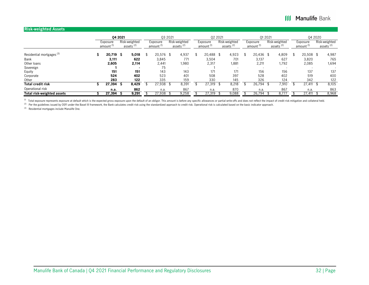### **III Manulife Bank**

#### **Risk-weighted Assets**

|                                      |                                   | 04 2021                       |       | 03 2021                           |                                        |                                   | 02 2021 |                                        |                                   | 01 2021 |                                        |                                   | 04 2020 |                                        |
|--------------------------------------|-----------------------------------|-------------------------------|-------|-----------------------------------|----------------------------------------|-----------------------------------|---------|----------------------------------------|-----------------------------------|---------|----------------------------------------|-----------------------------------|---------|----------------------------------------|
|                                      | Exposure<br>amount <sup>(1)</sup> | Risk-weighted<br>assets $(2)$ |       | Exposure<br>amount <sup>(1)</sup> | Risk-weighted<br>assets <sup>(2)</sup> | Exposure<br>amount <sup>(1)</sup> |         | Risk-weighted<br>assets <sup>(2)</sup> | Exposure<br>amount <sup>(1)</sup> |         | Risk-weighted<br>assets <sup>(2)</sup> | Exposure<br>amount <sup>(1)</sup> |         | Risk-weighted<br>assets <sup>(2)</sup> |
| Residential mortgages <sup>(3)</sup> | 20,719                            | Ŝ                             | 5,018 | \$<br>$20,576$ \$                 | 4,937                                  | 20,488 \$                         |         | 4,923                                  | $20,436$ \$                       |         | 4,809                                  | \$<br>20,508 \$                   |         | 4,987                                  |
| Bank                                 | 3,111                             |                               | 622   | 3,845                             | 771                                    | 3,504                             |         | 701                                    | 3,137                             |         | 627                                    | 3,820                             |         | 765                                    |
| Other loans                          | 2,605                             |                               | 2,114 | 2,441                             | 1,980                                  | 2,317                             |         | 1,881                                  | 2,211                             |         | 1,792                                  | 2,085                             |         | 1,694                                  |
| Sovereign                            |                                   |                               |       | 75                                |                                        |                                   |         |                                        |                                   |         |                                        |                                   |         |                                        |
| Equity                               | 151                               |                               | 151   | 143                               | 143                                    | 171                               |         | 171                                    | 156                               |         | 156                                    | 137                               |         | 137                                    |
| Corporate                            | 524                               |                               | 402   | 523                               | 401                                    | 508                               |         | 397                                    | 528                               |         | 402                                    | 519                               |         | 400                                    |
| Other                                | 283                               |                               | 122   | 335                               | 159                                    | 330                               |         | 145                                    | 326                               |         | 124                                    | 342                               |         | 122                                    |
| <b>Total credit risk</b>             | 27,394                            | э                             | 8,429 | 27,938                            | 8,391                                  | 27,319                            |         | 8,218                                  | 26,794                            |         | .910                                   | 27.411                            |         | 8,105                                  |
| Operational risk                     | n.a.                              |                               | 862   | n.a.                              | 867                                    | n.a.                              |         | 870                                    | n.a.                              |         | 867                                    | n.a.                              |         | 863                                    |
| Total risk-weighted assets           | 27,394                            |                               | 9,291 | 27,938                            | 9,258                                  | 27,319                            |         | 9,088                                  | 26,794                            |         | 8,777                                  | 27.411                            |         | 8,968                                  |

<sup>(1)</sup> Total exposure represents exposure at default which is the expected gross exposure upon the default of an obligor. This amount is before any specific allowances or partial write-offs and does not reflect the impact o

 $^{(2)}$  Per the guidelines issued by OSFI under the Basel III framework, the Bank calculates credit risk using the standardized approach to credit risk. Operational risk is calculated based on the basic indicator approach.

(3) Residential mortgages include Manulife One.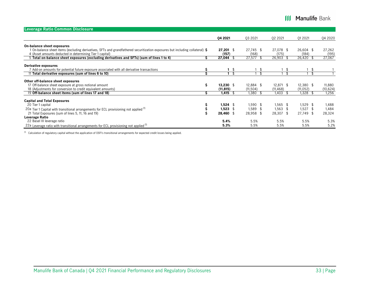| Leverage Ratio Common Disclosure                                                                                                                                                                               |   |                      |                      |                    |                    |                 |
|----------------------------------------------------------------------------------------------------------------------------------------------------------------------------------------------------------------|---|----------------------|----------------------|--------------------|--------------------|-----------------|
|                                                                                                                                                                                                                |   | 04 2021              | 03 2021              | 02 2021            | 01 20 21           | Q4 2020         |
| On-balance sheet exposures                                                                                                                                                                                     |   |                      |                      |                    |                    |                 |
| On-balance sheet items (excluding derivatives, SFTs and grandfathered securitization exposures but including collateral) $\boldsymbol{\mathsf{S}}$<br>4 (Asset amounts deducted in determining Tier 1 capital) |   | $27,201$ \$<br>(157) | $27.745$ \$<br>(168) | 27.078 \$<br>(175) | 26,604 \$<br>(184) | 27,262<br>(195) |
| 5 Total on-balance sheet exposures (excluding derivatives and SFTs) (sum of lines 1 to 4)                                                                                                                      |   | 27,044               | 27,577               | 26,903             | 26,420             | 27,067          |
| Derivative exposures                                                                                                                                                                                           |   |                      |                      |                    |                    |                 |
| 7 Add-on amounts for potential future exposure associated with all derivative transactions                                                                                                                     |   | \$                   |                      |                    |                    |                 |
| 11 Total derivative exposures (sum of lines 6 to 10)                                                                                                                                                           |   |                      |                      |                    |                    |                 |
| Other off-balance sheet exposures                                                                                                                                                                              |   |                      |                      |                    |                    |                 |
| 17 Off-balance sheet exposure at gross notional amount                                                                                                                                                         | Ŝ | $13.230$ \$          | 12.884 \$            | $12,871$ \$        | 12,380 \$          | 11,880          |
| 18 (Adjustments for conversion to credit equivalent amounts)                                                                                                                                                   |   | (11, 815)            | (11, 504)            | (11, 468)          | (11, 052)          | (10, 624)       |
| 19 Off-balance sheet items (sum of lines 17 and 18)                                                                                                                                                            |   | 1,415                | 1,380                | 1,403              | 1,328              | 1,256           |
| <b>Capital and Total Exposures</b>                                                                                                                                                                             |   |                      |                      |                    |                    |                 |
| 20 Tier 1 capital                                                                                                                                                                                              |   | $1,524$ \$           | $1,590$ \$           | $1,565$ \$         | 1,529 \$           | 1,488           |
| 20a Tier 1 Capital with transitional arrangements for ECL provisioning not applied $(1)$                                                                                                                       |   | 1,523                | 1,589 \$             | $1,563$ \$         | $1,527$ \$         | 1,484           |
| 21 Total Exposures (sum of lines 5, 11, 16 and 19)                                                                                                                                                             |   | 28,460 \$            | 28,958 \$            | 28,307 \$          | 27,749 \$          | 28,324          |
| Leverage Ratio                                                                                                                                                                                                 |   |                      |                      |                    |                    |                 |
| 22 Basel III leverage ratio                                                                                                                                                                                    |   | 5.4%                 | 5.5%                 | 5.5%               | 5.5%               | 5.3%            |
| 22a Leverage ratio with transitional arrangements for ECL provisioning not applied $(1)$                                                                                                                       |   | 5.3%                 | 5.5%                 | 5.5%               | 5.5%               | 5.2%            |

 $(1)$  Calculation of regulatory capital without the application of OSFI's transitional arrangements for expected credit losses being applied.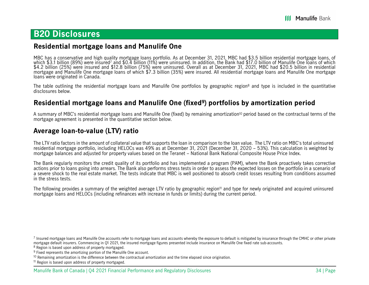## **B20 Disclosures**

### **Residential mortgage loans and Manulife One**

MBC has a conservative and high quality mortgage loans portfolio. As at December 31, 2021, MBC had \$3.5 billion residential mortgage loans, of which \$3.1 billion (89%) were insured<sup>7</sup> and \$0.4 billion (11%) were uninsured.

The table outlining the residential mortgage loans and Manulife One portfolios by geographic region8 and type is included in the quantitative disclosures below.

### **Residential mortgage loans and Manulife One (fixed9) portfolios by amortization period**

A summary of MBC's residential mortgage loans and Manulife One (fixed) by remaining amortization10 period based on the contractual terms of the mortgage agreement is presented in the quantitative section below.

## **Average loan-to-value (LTV) ratio**

The LTV ratio factors in the amount of collateral value that supports the loan in comparison to the loan value. The LTV ratio on MBC's total uninsured residential mortgage portfolio, including HELOCs was 49% as at December 31, 2021 (December 31, 2020 – 53%). This calculation is weighted by mortgage balances and adjusted for property values based on the Teranet – National Bank National Composite House Price Index.

The Bank regularly monitors the credit quality of its portfolio and has implemented a program (PAM), where the Bank proactively takes corrective actions prior to loans going into arrears. The Bank also performs stress tests in order to assess the expected losses on the portfolio in a scenario of a severe shock to the real estate market. The tests indicate that MBC is well positioned to absorb credit losses resulting from conditions assumed in the stress tests.

The following provides a summary of the weighted average LTV ratio by geographic region<sup>11</sup> and type for newly originated and acquired uninsured mortgage loans and HELOCs (including refinances with increase in funds or limits) during the current period.

<sup>&</sup>lt;sup>7</sup> Insured mortgage loans and Manulife One accounts refer to mortgage loans and accounts whereby the exposure to default is mitigated by insurance through the CMHC or other private mortgage default insurers. Commencing in Q1 2021, the insured mortgage figures presented include insurance on Manulife One fixed rate sub-accounts.

<sup>8</sup> Region is based upon address of property mortgaged.

<sup>9</sup> Fixed represents the amortizing portion of the Manulife One account.

 $10$  Remaining amortization is the difference between the contractual amortization and the time elapsed since origination.

<sup>&</sup>lt;sup>11</sup> Region is based upon address of property mortgaged.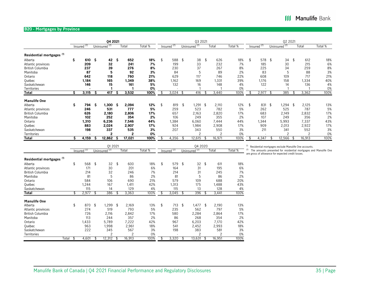### **B20 - Mortgages by Province**

|                                      |       |     |               |     | 04 2021                  |    |        |         |     |               |    | Q3 2021                  |    |                |         |     |               | Q2 2021                                            |                                                                     |                                                                  |
|--------------------------------------|-------|-----|---------------|-----|--------------------------|----|--------|---------|-----|---------------|----|--------------------------|----|----------------|---------|-----|---------------|----------------------------------------------------|---------------------------------------------------------------------|------------------------------------------------------------------|
|                                      |       |     | Insured $(2)$ |     | Uninsured <sup>(2)</sup> |    | Total  | Total % |     | Insured $(2)$ |    | Uninsured <sup>(2)</sup> |    | Total          | Total % |     | Insured $(2)$ | Uninsured <sup>(2)</sup>                           | Total                                                               | Total %                                                          |
| Residential mortgages <sup>(1)</sup> |       |     |               |     |                          |    |        |         |     |               |    |                          |    |                |         |     |               |                                                    |                                                                     |                                                                  |
| Alberta                              |       | \$  | 610 \$        |     | $42 \quad$ \$            |    | 652    | 18%     | \$  | 588 \$        |    | 38                       | \$ | 626            | 18%     | \$  | 578 \$        | 34                                                 | \$<br>612                                                           | 18%                                                              |
|                                      |       |     | 209           |     | 32                       |    | 241    | 7%      |     | 199           |    | 33                       |    | 232            | 7%      |     | 185           | 30                                                 | 215                                                                 | 6%                                                               |
| Atlantic provinces                   |       |     | 237           |     | 39                       |    | 276    | 8%      |     | 230           |    | 37                       |    | 267            | 8%      |     | 225           | 34                                                 | 259                                                                 | 8%                                                               |
| <b>British Columbia</b>              |       |     |               |     |                          |    |        |         |     |               |    |                          |    |                |         |     |               |                                                    |                                                                     |                                                                  |
| Manitoba                             |       |     | 87            |     | 5                        |    | 92     | 3%      |     | 84            |    | 5                        |    | 89             | 2%      |     | 83            | 5                                                  | 88                                                                  | 3%                                                               |
| Ontario                              |       |     | 642           |     | 118                      |    | 760    | 21%     |     | 629           |    | 117                      |    | 746            | 22%     |     | 608           | 109                                                | 717                                                                 | 21%                                                              |
| Québec                               |       |     | 1,184         |     | 165                      |    | 1,349  | 38%     |     | 1,162         |    | 169                      |    | 1,331          | 39%     |     | 1,176         | 158                                                | 1,334                                                               | 40%                                                              |
| Saskatchewan                         |       |     | 146           |     | 15                       |    | 161    | 5%      |     | 132           |    | 16                       |    | 148            | 4%      |     | 122           | 14                                                 | 136                                                                 | 4%                                                               |
| Territories                          |       |     |               |     |                          |    |        | 0%      |     |               |    |                          |    |                | 0%      |     |               |                                                    |                                                                     | 0%                                                               |
| Total                                |       | Ŝ   | 3,115         | -S  | 417                      | S  | 3,532  | 100%    | -\$ | $3,024$ \$    |    | 416                      | Æ  | 3,440          | 100%    | \$  | 2,977         | \$<br>385                                          | 3,362                                                               | 100%                                                             |
| <b>Manulife One</b>                  |       |     |               |     |                          |    |        |         |     |               |    |                          |    |                |         |     |               |                                                    |                                                                     |                                                                  |
| Alberta                              |       | \$  | 794           | -\$ | $1,300$ \$               |    | 2,094  | 12%     | \$  | 819           | \$ | $1,291$ \$               |    | 2,110          | 12%     | \$  | 831           | \$<br>$1,294$ \$                                   | 2,125                                                               | 13%                                                              |
| Atlantic provinces                   |       |     | 246           |     | 531                      |    | 777    | 5%      |     | 259           |    | 523                      |    | 782            | 5%      |     | 262           | 525                                                | 787                                                                 | 5%                                                               |
| <b>British Columbia</b>              |       |     | 626           |     | 2,180                    |    | 2,806  | 17%     |     | 657           |    | 2,163                    |    | 2,820          | 17%     |     | 683           | 2,149                                              | 2,832                                                               | 17%                                                              |
| Manitoba                             |       |     | 102           |     | 252                      |    | 354    | 2%      |     | 106           |    | 249                      |    | 355            | 2%      |     | 107           | 249                                                | 356                                                                 | 2%                                                               |
| Ontario                              |       |     | 1,310         |     | 6,236                    |    | 7,546  | 44%     |     | 1,384         |    | 6,060                    |    | 7,444          | 44%     |     | 1,344         | 5,993                                              | 7,337                                                               | 43%                                                              |
| Québec                               |       |     | 883           |     | 2,024                    |    | 2,907  | 17%     |     | 924           |    | 1,984                    |    | 2,908          | 17%     |     | 909           | 2,013                                              | 2,922                                                               | 17%                                                              |
| Saskatchewan                         |       |     | 198           |     | 337                      |    | 535    | 3%      |     | 207           |    | 343                      |    | 550            | 3%      |     | 211           | 341                                                | 552                                                                 | 3%                                                               |
| Territories                          |       |     |               |     | $\overline{2}$           |    | 2      | 0%      |     |               |    | $\overline{2}$           |    | $\overline{2}$ | 0%      |     |               | 2                                                  | $\overline{2}$                                                      | 0%                                                               |
| Total                                |       | Ŝ   | 4,159         | s   | 12,862                   | S  | 17,021 | 100%    | \$  | 4,356         |    | 12,615                   |    | 16,971         | 100%    |     | 4,347         | 12,566                                             | 16,913                                                              | 100%                                                             |
|                                      |       |     |               |     |                          |    |        |         |     |               |    |                          |    |                |         |     |               |                                                    |                                                                     |                                                                  |
|                                      |       |     |               |     | 01 20 21                 |    |        |         |     |               |    | 04 2020                  |    |                |         | (2) |               |                                                    | <sup>(1)</sup> Residential mortgages exclude Manulife One accounts. |                                                                  |
|                                      |       |     | Insured $(2)$ |     | Uninsured <sup>(2)</sup> |    | Total  | Total % |     | Insured $(2)$ |    | Uninsured <sup>(2)</sup> |    | Total          | Total % |     |               | are gross of allowance for expected credit losses. |                                                                     | The amounts presented for residential mortgages and Manulife One |
| Residential mortgages <sup>(1)</sup> |       |     |               |     |                          |    |        |         |     |               |    |                          |    |                |         |     |               |                                                    |                                                                     |                                                                  |
| Alberta                              |       | \$  | 568           | \$  | 32                       | \$ | 600    | 18%     | \$  | 579 \$        |    | $32*$                    |    | 611            | 18%     |     |               |                                                    |                                                                     |                                                                  |
| Atlantic provinces                   |       |     | 171           |     | 30                       |    | 201    | 6%      |     | 164           |    | 31                       |    | 195            | 6%      |     |               |                                                    |                                                                     |                                                                  |
| <b>British Columbia</b>              |       |     | 214           |     | 32                       |    | 246    | 7%      |     | 214           |    | 31                       |    | 245            | 7%      |     |               |                                                    |                                                                     |                                                                  |
| Manitoba                             |       |     | 81            |     | 5                        |    | 86     | 2%      |     | 81            |    | 5                        |    | 86             | 2%      |     |               |                                                    |                                                                     |                                                                  |
| Ontario                              |       |     | 584           |     | 106                      |    | 690    | 21%     |     | 579           |    | 109                      |    | 688            | 20%     |     |               |                                                    |                                                                     |                                                                  |
| Québec                               |       |     | 1,244         |     | 167                      |    | 1,411  | 42%     |     | 1,313         |    | 175                      |    | 1,488          | 43%     |     |               |                                                    |                                                                     |                                                                  |
| Saskatchewan                         |       |     | 115           |     | 14                       |    | 129    | 4%      |     | 115           |    | 13                       |    | 128            | 4%      |     |               |                                                    |                                                                     |                                                                  |
| <b>Total</b>                         |       |     | 2,977         | \$  | 386                      |    | 3,363  | 100%    | \$  | 3,045         | £  | 396                      | £  | 3,441          | 100%    |     |               |                                                    |                                                                     |                                                                  |
|                                      |       |     |               |     |                          |    |        |         |     |               |    |                          |    |                |         |     |               |                                                    |                                                                     |                                                                  |
| <b>Manulife One</b>                  |       |     |               |     |                          |    |        |         |     |               |    |                          |    |                |         |     |               |                                                    |                                                                     |                                                                  |
| Alberta                              |       | \$  | 870           | \$  | $1,299$ \$               |    | 2,169  | 13%     | \$  | $713$ \$      |    | 1,477                    | \$ | 2,190          | 13%     |     |               |                                                    |                                                                     |                                                                  |
| Atlantic provinces                   |       |     | 274           |     | 519                      |    | 793    | 5%      |     | 235           |    | 562                      |    | 797            | 5%      |     |               |                                                    |                                                                     |                                                                  |
| <b>British Columbia</b>              |       |     | 726           |     | 2,116                    |    | 2,842  | 17%     |     | 580           |    | 2,284                    |    | 2,864          | 17%     |     |               |                                                    |                                                                     |                                                                  |
| Manitoba                             |       |     | 113           |     | 244                      |    | 357    | 2%      |     | 86            |    | 268                      |    | 354            | 2%      |     |               |                                                    |                                                                     |                                                                  |
| Ontario                              |       |     | 1,433         |     | 5,789                    |    | 7,222  | 42%     |     | 967           |    | 6,203                    |    | 7,170          | 42%     |     |               |                                                    |                                                                     |                                                                  |
| Québec                               |       |     | 963           |     | 1,998                    |    | 2,961  | 18%     |     | 541           |    | 2,452                    |    | 2,993          | 18%     |     |               |                                                    |                                                                     |                                                                  |
| Saskatchewan                         |       |     | 222           |     | 345                      |    | 567    | 3%      |     | 198           |    | 383                      |    | 581            | 3%      |     |               |                                                    |                                                                     |                                                                  |
| Territories                          |       |     |               |     | $\overline{2}$           |    |        | 0%      |     |               |    |                          |    |                | 0%      |     |               |                                                    |                                                                     |                                                                  |
|                                      | Total | -\$ | 4,601         | -\$ | $12,312$ \$              |    | 16,913 | 100%    | \$  | 3,320         | \$ | 13,631                   |    | 16,951         | 100%    |     |               |                                                    |                                                                     |                                                                  |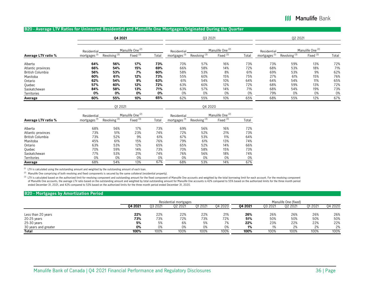### **III Manulife Bank**

#### **B20 - Average LTV Ratios for Uninsured Residential and Manulife One Mortgages Originated During the Quarter**

|                     |             | 04 2021                  |                             |       |                          | 03 2021                  |                             |       |                          | 02 2021                  |                             |       |
|---------------------|-------------|--------------------------|-----------------------------|-------|--------------------------|--------------------------|-----------------------------|-------|--------------------------|--------------------------|-----------------------------|-------|
|                     | Residential |                          | Manulife One <sup>(2)</sup> |       | Residential              |                          | Manulife One <sup>(2)</sup> |       | Residentia               |                          | Manulife One <sup>(2)</sup> |       |
| Average LTV ratio % | mortgages   | Revolving <sup>(3)</sup> | Fixed <sup>(3)</sup>        | Total | mortgages <sup>(1)</sup> | Revolving <sup>(3)</sup> | Fixed <sup>(3)</sup>        | Total | mortgages <sup>(1)</sup> | Revolving <sup>(3)</sup> | Fixed <sup>(3)</sup>        | Total |
| Alberta             | 64%         | 56%                      | 17%                         | 73%   | 70%                      | 57%                      | 16%                         | 73%   | 73%                      | 59%                      | 13%                         | 72%   |
| Atlantic provinces  | 66%         | 54%                      | 15%                         | 69%   | 66%                      | 58%                      | 14%                         | 72%   | 68%                      | 53%                      | 18%                         | 71%   |
| British Columbia    | 56%         | 53%                      | 7%                          | 60%   | 58%                      | 53%                      | 8%                          | 61%   | 69%                      | 53%                      | 9%                          | 62%   |
| Manitoba            | 60%         | 61%                      | 12%                         | 73%   | 55%                      | 60%                      | 15%                         | 75%   | 27%                      | 61%                      | 15%                         | 76%   |
| Ontario             | 62%         | 54%                      | 9%                          | 63%   | 61%                      | 54%                      | 10%                         | 64%   | 64%                      | 54%                      | 11%                         | 65%   |
| Quebec              | 57%         | 60%                      | 12%                         | 72%   | 63%                      | 60%                      | 12%                         | 72%   | 68%                      | 59%                      | 13%                         | 72%   |
| Saskatchewan        | 84%         | 58%                      | 13%                         | 71%   | 63%                      | 57%                      | 14%                         | 71%   | 68%                      | 54%                      | 19%                         | 73%   |
| Territories         | 0%          | 0%                       | 0%                          | 0%    | 0%                       | 0%                       | 0%                          | 0%    | 79%                      | 0%                       | 0%                          | 0%    |
| Average             | 60%         | 55%                      | 10%                         | 65%   | 62%                      | 55%                      | 10%                         | 65%   | 68%                      | 55%                      | 12%                         | 67%   |

|                     | Residential              |                 | Manulife One <sup>(2)</sup> |       | Residential              |                          | Manulife One <sup>(2)</sup> |       |
|---------------------|--------------------------|-----------------|-----------------------------|-------|--------------------------|--------------------------|-----------------------------|-------|
| Average LTV ratio % | mortgages <sup>(1)</sup> | Revolving $(3)$ | Fixed $(3)$                 | Total | mortgages <sup>(1)</sup> | Revolving <sup>(3)</sup> | Fixed $(3)$                 | Total |
| Alberta             | 68%                      | 56%             | 17%                         | 73%   | 69%                      | 56%                      | 16%                         | 72%   |
| Atlantic provinces  | 73%                      | 51%             | 23%                         | 74%   | 72%                      | 52%                      | 21%                         | 73%   |
| British Columbia    | 73%                      | 52%             | 9%                          | 61%   | 67%                      | 53%                      | 11%                         | 64%   |
| Manitoba            | 45%                      | 61%             | 15%                         | 76%   | 79%                      | 61%                      | 13%                         | 74%   |
| Ontario             | 63%                      | 53%             | 12%                         | 65%   | 65%                      | 52%                      | 14%                         | 66%   |
| Quebec              | 70%                      | 59%             | 14%                         | 73%   | 70%                      | 58%                      | 15%                         | 73%   |
| Saskatchewan        | 77%                      | 53%             | 21%                         | 74%   | 76%                      | 56%                      | 18%                         | 74%   |
| <b>Territories</b>  | 0%                       | 0%              | 0%                          | 0%    | 0%                       | 0%                       | 0%                          | 0%    |
| Average             | 68%                      | 54%             | 13%                         | 67%   | 68%                      | 53%                      | 14%                         | 67%   |

 $<sup>(1)</sup>$  LTV is calculated using the outstanding amount and weighted by the outstanding amount of each loan.</sup>

<sup>(2)</sup> Manulife One comprising of both revolving and fixed components is secured by the same collateral (residential property).

(3) LTV is calculated based on the authorized limit for revolving component and outstanding amount for the fixed component of Manulife One accounts and weighted by the total borrowing limit for each account. For the revolv of Manulife One accounts, the average LTV ratio based on the outstanding amount and weighted by total outstanding amount for Manulife One accounts is 42% compared to 55% based on the authorized limits for the three month p ended December 31, 2021, and 42% compared to 53% based on the authorized limits for the three month period ended December 31, 2020.

Q1 2021 Q4 2020

#### **B20 - Mortgages by Amortization Period**

|                      | Residential mortgages |         |         |         | Manulife One (fixed) |         |         |         |         |         |
|----------------------|-----------------------|---------|---------|---------|----------------------|---------|---------|---------|---------|---------|
|                      | 04 2021               | 03 2021 | 02 2021 | 01 2021 | 04 2020              | 04 2021 | 03 2021 | 02 2021 | 01 2021 | 04 2020 |
| Less than 20 years   | 22%                   | 22%     | 22%     | 22%     | 21%                  | 26%     | 26%     | 26%     | 26%     | 26%     |
| 20-25 years          | 73%                   | 73%     | 72%     | 73%     | 72%                  | 51%     | 50%     | 50%     | 50%     | 50%     |
| 25-30 years          | 5%                    | 5%      | 6%      | 5%      | 7%                   | 22%     | 23%     | 22%     | 22%     | 22%     |
| 30 years and greater | 0%                    | 0%      | 0%      | 0%      | 0%                   | 1%      |         | 2%      | 2%      | 2%      |
| Total                | 100%                  | 100%    | 100%    | 100%    | 100%                 | 100%    | 100%    | 100%    | 100%    | 100%    |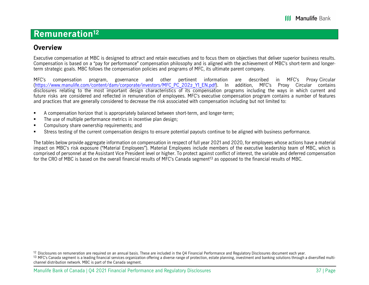## **Remuneration12**

### **Overview**

Executive compensation at MBC is designed to attract and retain executives and to focus them on objectives that deliver superior business results. Compensation is based on a "pay for performance" compensation philosophy and is aligned with the achievement of MBC's short-term and longerterm strategic goals. MBC follows the compensation policies and programs of MFC, its ultimate parent company.

MFC's compensation program, governance and other pertinent information are described in MFC's Proxy Circular [\(https://www.manulife.com/content/dam/corporate/investors/MFC\\_PC\\_202](https://www.manulife.com/content/dam/corporate/en/documents/investors/MFC_PC_2022_Y1_EN.pdf)2\_Y1\_EN.pdf). In addition, MFC's Proxy Circular contains disclosures relating to the most important design characteristics of its compensation programs including the ways in which current and future risks are considered and reflected in remuneration of employees. MFC's executive compensation program contains a number of features and practices that are generally considered to decrease the risk associated with compensation including but not limited to:

- Г A compensation horizon that is appropriately balanced between short-term, and longer-term;
- н The use of multiple performance metrics in incentive plan design;
- $\blacksquare$ Compulsory share ownership requirements; and
- Г Stress testing of the current compensation designs to ensure potential payouts continue to be aligned with business performance.

The tables below provide aggregate information on compensation in respect of full year 2021 and 2020, for employees whose actions have a material impact on MBC's risk exposure ("Material Employees"). Material Employees include members of the executive leadership team of MBC, which is comprised of personnel at the Assistant Vice President level or higher. To protect against conflict of interest, the variable and deferred compensation for the CRO of MBC is based on the overall financial results of MFC's Canada segment<sup>13</sup> as opposed to the financial results of MBC.

 $^{12}$  Disclosures on remuneration are required on an annual basis. These are included in the Q4 Financial Performance and Regulatory Disclosures document each year.

<sup>&</sup>lt;sup>13</sup> MFC's Canada segment is a leading financial services organization offering a diverse range of protection, estate planning, investment and banking solutions through a diversified multichannel distribution network. MBC is part of the Canada segment.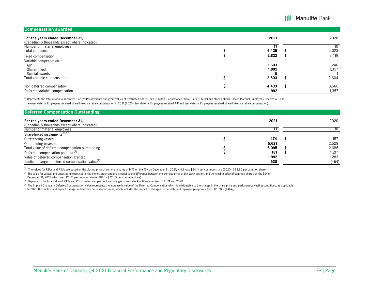| <b>Compensation awarded</b>                                                        |                |                |
|------------------------------------------------------------------------------------|----------------|----------------|
| For the years ended December 31,<br>(Canadian \$ thousands except where indicated) | 2021           | 2020           |
| Number of material employees                                                       |                | 10             |
| Total compensation                                                                 | 6,425          | 5,023          |
| Fixed compensation<br>Variable compensation <sup>(1)</sup>                         | 2,822          | 2,419          |
| AIP<br>Share-linked                                                                | 1,603<br>1,992 | 1,246<br>1,357 |
| Special awards                                                                     |                |                |
| Total variable compensation                                                        | 3,603          | 2,604          |
| Non-deferred compensation                                                          | 4,433          | 3,666          |
| Deferred variable compensation                                                     | 1,992          | 1,357          |

(1) Represents the total of Annual Incentive Plan ("AIP") payments and grant values of Restricted Share Units ("RSUs"), Performance Share Units ("PSUs") and stock options. Eleven Material Employees received AIP and eleven Material Employees received share-linked variable compensation in 2021 (2020 - ten Material Employees received AIP and ten Material Employees received share-linked variable compensation).

| <b>Deferred Compensation Outstanding</b>             |       |       |
|------------------------------------------------------|-------|-------|
| For the years ended December 31,                     | 2021  | 2020  |
| (Canadian \$ thousands except where indicated)       |       |       |
| Number of material employees                         |       |       |
| Share-linked instruments <sup>(1),(2)</sup>          |       |       |
| Outstanding vested                                   | 474   | 157   |
| Outstanding unvested                                 | 5,621 | 2,529 |
| Total value of deferred compensation outstanding     | 6,095 | 2,686 |
| Deferred compensation paid out <sup>(3)</sup>        | 181   | 1,217 |
| Value of deferred compensation granted               | 1,992 | 1,283 |
| Implicit change in deferred compensation value $(4)$ | 538   | (464) |

(1) The values for RSUs and PSUs are based on the closing price of common shares of MFC on the TSX on December 31, 2021, which was \$24.11 per common share (2020 - \$22.65 per common share).

<sup>(2)</sup> The value for vested and unvested unexercised in-the-money stock options is equal to the difference between the exercise price of the stock options and the closing price of common shares on the TSX on

December 31, 2021, which was \$24.11 per common share (2020 - \$22.65 per common share).

(3) Represents the total value of RSUs and PSUs vested and paid out and any gains from stock options exercised in 2021 and 2020.

(4) The Implicit Change in Deferred Compensation Value represents the increase in value of the Deferred Compensation which is attributable to the change in the share price and performance vesting conditions, as applicable. In 2021, the implicit and explicit change in deferred compensation value, which includes the impact of changes in the Material Employee group, was \$538 (2020 – (\$464)).